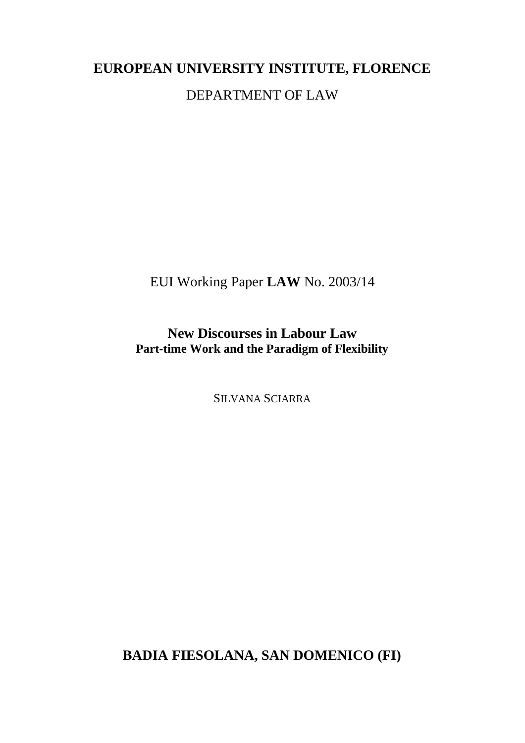# **EUROPEAN UNIVERSITY INSTITUTE, FLORENCE** DEPARTMENT OF LAW

EUI Working Paper **LAW** No. 2003/14

**New Discourses in Labour Law Part-time Work and the Paradigm of Flexibility**

SILVANA SCIARRA

**BADIA FIESOLANA, SAN DOMENICO (FI)**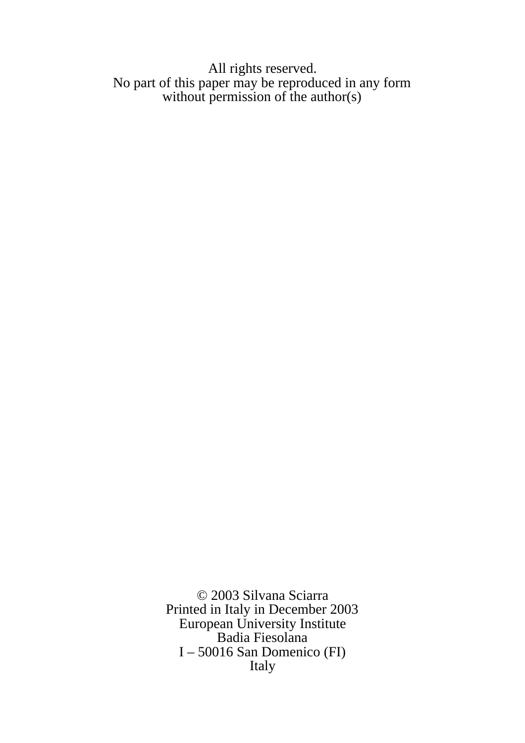All rights reserved. No part of this paper may be reproduced in any form without permission of the author(s)

> © 2003 Silvana Sciarra Printed in Italy in December 2003 European University Institute Badia Fiesolana I – 50016 San Domenico (FI) Italy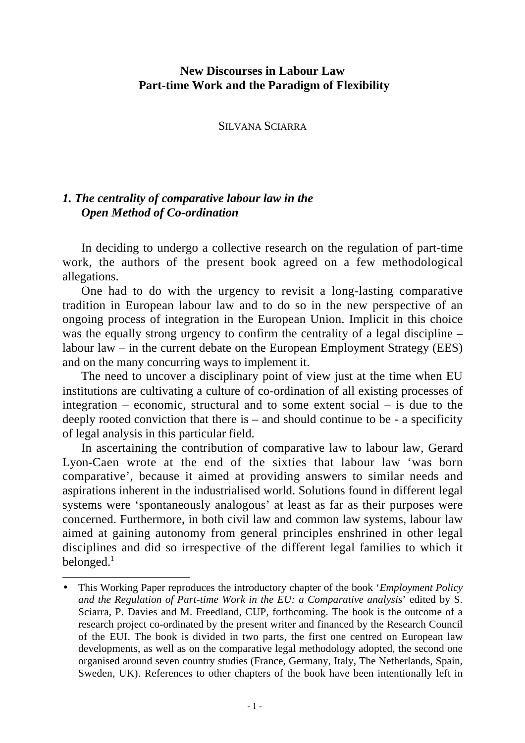SILVANA SCIARRA

# *1. The centrality of comparative labour law in the Open Method of Co-ordination*

j

In deciding to undergo a collective research on the regulation of part-time work, the authors of the present book agreed on a few methodological allegations.

One had to do with the urgency to revisit a long-lasting comparative tradition in European labour law and to do so in the new perspective of an ongoing process of integration in the European Union. Implicit in this choice was the equally strong urgency to confirm the centrality of a legal discipline – labour law – in the current debate on the European Employment Strategy (EES) and on the many concurring ways to implement it.

The need to uncover a disciplinary point of view just at the time when EU institutions are cultivating a culture of co-ordination of all existing processes of integration – economic, structural and to some extent social – is due to the deeply rooted conviction that there is  $-$  and should continue to be  $-$  a specificity of legal analysis in this particular field.

In ascertaining the contribution of comparative law to labour law, Gerard Lyon-Caen wrote at the end of the sixties that labour law 'was born comparative', because it aimed at providing answers to similar needs and aspirations inherent in the industrialised world. Solutions found in different legal systems were 'spontaneously analogous' at least as far as their purposes were concerned. Furthermore, in both civil law and common law systems, labour law aimed at gaining autonomy from general principles enshrined in other legal disciplines and did so irrespective of the different legal families to which it belonged. $<sup>1</sup>$ </sup>

<sup>•</sup> This Working Paper reproduces the introductory chapter of the book '*Employment Policy and the Regulation of Part-time Work in the EU: a Comparative analysis*' edited by S. Sciarra, P. Davies and M. Freedland, CUP, forthcoming. The book is the outcome of a research project co-ordinated by the present writer and financed by the Research Council of the EUI. The book is divided in two parts, the first one centred on European law developments, as well as on the comparative legal methodology adopted, the second one organised around seven country studies (France, Germany, Italy, The Netherlands, Spain, Sweden, UK). References to other chapters of the book have been intentionally left in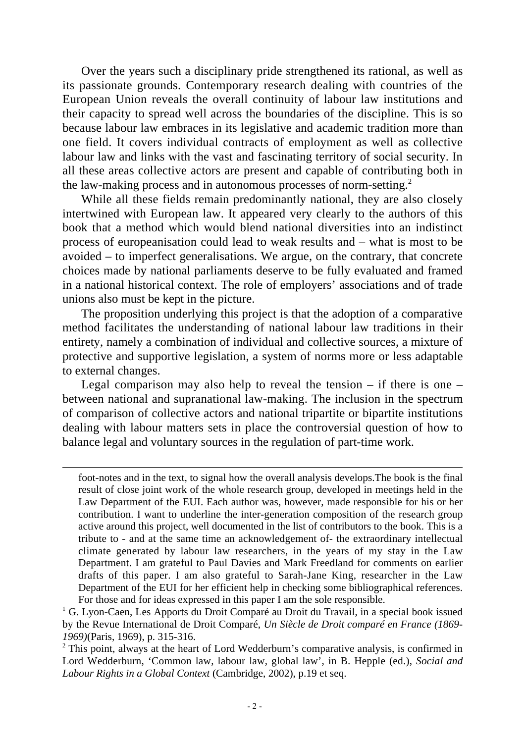Over the years such a disciplinary pride strengthened its rational, as well as its passionate grounds. Contemporary research dealing with countries of the European Union reveals the overall continuity of labour law institutions and their capacity to spread well across the boundaries of the discipline. This is so because labour law embraces in its legislative and academic tradition more than one field. It covers individual contracts of employment as well as collective labour law and links with the vast and fascinating territory of social security. In all these areas collective actors are present and capable of contributing both in the law-making process and in autonomous processes of norm-setting.<sup>2</sup>

While all these fields remain predominantly national, they are also closely intertwined with European law. It appeared very clearly to the authors of this book that a method which would blend national diversities into an indistinct process of europeanisation could lead to weak results and – what is most to be avoided – to imperfect generalisations. We argue, on the contrary, that concrete choices made by national parliaments deserve to be fully evaluated and framed in a national historical context. The role of employers' associations and of trade unions also must be kept in the picture.

The proposition underlying this project is that the adoption of a comparative method facilitates the understanding of national labour law traditions in their entirety, namely a combination of individual and collective sources, a mixture of protective and supportive legislation, a system of norms more or less adaptable to external changes.

Legal comparison may also help to reveal the tension  $-$  if there is one  $$ between national and supranational law-making. The inclusion in the spectrum of comparison of collective actors and national tripartite or bipartite institutions dealing with labour matters sets in place the controversial question of how to balance legal and voluntary sources in the regulation of part-time work.

-

foot-notes and in the text, to signal how the overall analysis develops.The book is the final result of close joint work of the whole research group, developed in meetings held in the Law Department of the EUI. Each author was, however, made responsible for his or her contribution. I want to underline the inter-generation composition of the research group active around this project, well documented in the list of contributors to the book. This is a tribute to - and at the same time an acknowledgement of- the extraordinary intellectual climate generated by labour law researchers, in the years of my stay in the Law Department. I am grateful to Paul Davies and Mark Freedland for comments on earlier drafts of this paper. I am also grateful to Sarah-Jane King, researcher in the Law Department of the EUI for her efficient help in checking some bibliographical references. For those and for ideas expressed in this paper I am the sole responsible.

<sup>&</sup>lt;sup>1</sup> G. Lyon-Caen, Les Apports du Droit Comparé au Droit du Travail, in a special book issued by the Revue International de Droit Comparé, *Un Siècle de Droit comparé en France (1869- 1969)*(Paris, 1969), p. 315-316.

<sup>&</sup>lt;sup>2</sup> This point, always at the heart of Lord Wedderburn's comparative analysis, is confirmed in Lord Wedderburn, 'Common law, labour law, global law', in B. Hepple (ed.), *Social and Labour Rights in a Global Context* (Cambridge, 2002), p.19 et seq.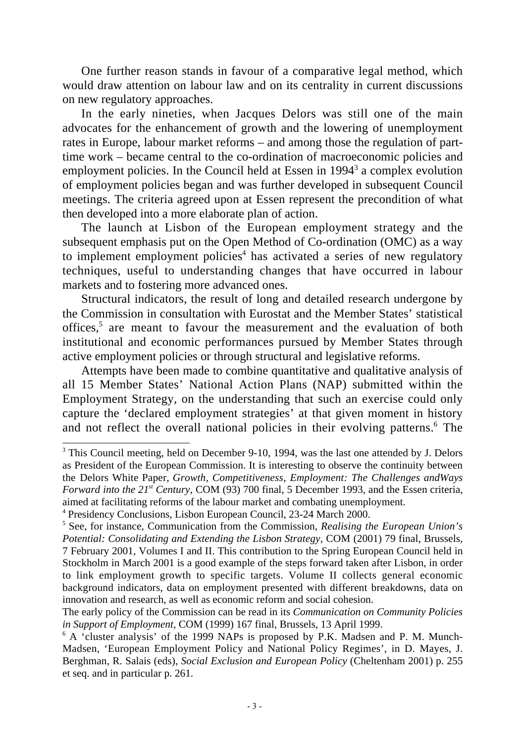One further reason stands in favour of a comparative legal method, which would draw attention on labour law and on its centrality in current discussions on new regulatory approaches.

In the early nineties, when Jacques Delors was still one of the main advocates for the enhancement of growth and the lowering of unemployment rates in Europe, labour market reforms – and among those the regulation of parttime work – became central to the co-ordination of macroeconomic policies and employment policies. In the Council held at Essen in 1994<sup>3</sup> a complex evolution of employment policies began and was further developed in subsequent Council meetings. The criteria agreed upon at Essen represent the precondition of what then developed into a more elaborate plan of action.

The launch at Lisbon of the European employment strategy and the subsequent emphasis put on the Open Method of Co-ordination (OMC) as a way to implement employment policies<sup>4</sup> has activated a series of new regulatory techniques, useful to understanding changes that have occurred in labour markets and to fostering more advanced ones.

Structural indicators, the result of long and detailed research undergone by the Commission in consultation with Eurostat and the Member States' statistical offices,<sup>5</sup> are meant to favour the measurement and the evaluation of both institutional and economic performances pursued by Member States through active employment policies or through structural and legislative reforms.

Attempts have been made to combine quantitative and qualitative analysis of all 15 Member States' National Action Plans (NAP) submitted within the Employment Strategy, on the understanding that such an exercise could only capture the 'declared employment strategies' at that given moment in history and not reflect the overall national policies in their evolving patterns.<sup>6</sup> The

<sup>&</sup>lt;sup>3</sup> This Council meeting, held on December 9-10, 1994, was the last one attended by J. Delors as President of the European Commission. It is interesting to observe the continuity between the Delors White Paper, *Growth, Competitiveness, Employment: The Challenges andWays Forward into the 21st Century*, COM (93) 700 final, 5 December 1993, and the Essen criteria, aimed at facilitating reforms of the labour market and combating unemployment.

<sup>4</sup> Presidency Conclusions, Lisbon European Council, 23-24 March 2000.

<sup>5</sup> See, for instance, Communication from the Commission, *Realising the European Union's Potential: Consolidating and Extending the Lisbon Strategy*, COM (2001) 79 final, Brussels, 7 February 2001, Volumes I and II. This contribution to the Spring European Council held in Stockholm in March 2001 is a good example of the steps forward taken after Lisbon, in order to link employment growth to specific targets. Volume II collects general economic background indicators, data on employment presented with different breakdowns, data on innovation and research, as well as economic reform and social cohesion.

The early policy of the Commission can be read in its *Communication on Community Policies in Support of Employment*, COM (1999) 167 final, Brussels, 13 April 1999.

 $6$  A 'cluster analysis' of the 1999 NAPs is proposed by P.K. Madsen and P. M. Munch-Madsen, 'European Employment Policy and National Policy Regimes', in D. Mayes, J. Berghman, R. Salais (eds), *Social Exclusion and European Policy* (Cheltenham 2001) p. 255 et seq. and in particular p. 261.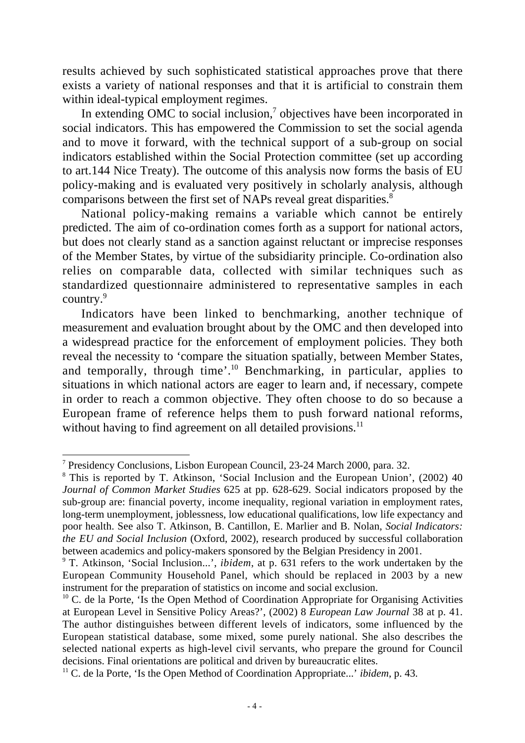results achieved by such sophisticated statistical approaches prove that there exists a variety of national responses and that it is artificial to constrain them within ideal-typical employment regimes.

In extending OMC to social inclusion, $\alpha$  objectives have been incorporated in social indicators. This has empowered the Commission to set the social agenda and to move it forward, with the technical support of a sub-group on social indicators established within the Social Protection committee (set up according to art.144 Nice Treaty). The outcome of this analysis now forms the basis of EU policy-making and is evaluated very positively in scholarly analysis, although comparisons between the first set of NAPs reveal great disparities.<sup>8</sup>

National policy-making remains a variable which cannot be entirely predicted. The aim of co-ordination comes forth as a support for national actors, but does not clearly stand as a sanction against reluctant or imprecise responses of the Member States, by virtue of the subsidiarity principle. Co-ordination also relies on comparable data, collected with similar techniques such as standardized questionnaire administered to representative samples in each country.<sup>9</sup>

Indicators have been linked to benchmarking, another technique of measurement and evaluation brought about by the OMC and then developed into a widespread practice for the enforcement of employment policies. They both reveal the necessity to 'compare the situation spatially, between Member States, and temporally, through time'.<sup>10</sup> Benchmarking, in particular, applies to situations in which national actors are eager to learn and, if necessary, compete in order to reach a common objective. They often choose to do so because a European frame of reference helps them to push forward national reforms, without having to find agreement on all detailed provisions.<sup>11</sup>

j <sup>7</sup> Presidency Conclusions, Lisbon European Council, 23-24 March 2000, para. 32.

<sup>&</sup>lt;sup>8</sup> This is reported by T. Atkinson, 'Social Inclusion and the European Union', (2002) 40 *Journal of Common Market Studies* 625 at pp. 628-629. Social indicators proposed by the sub-group are: financial poverty, income inequality, regional variation in employment rates, long-term unemployment, joblessness, low educational qualifications, low life expectancy and poor health. See also T. Atkinson, B. Cantillon, E. Marlier and B. Nolan, *Social Indicators: the EU and Social Inclusion* (Oxford, 2002), research produced by successful collaboration between academics and policy-makers sponsored by the Belgian Presidency in 2001.

<sup>&</sup>lt;sup>9</sup> T. Atkinson, 'Social Inclusion...', *ibidem*, at p. 631 refers to the work undertaken by the European Community Household Panel, which should be replaced in 2003 by a new instrument for the preparation of statistics on income and social exclusion.

<sup>&</sup>lt;sup>10</sup> C. de la Porte, 'Is the Open Method of Coordination Appropriate for Organising Activities at European Level in Sensitive Policy Areas?', (2002) 8 *European Law Journal* 38 at p. 41. The author distinguishes between different levels of indicators, some influenced by the European statistical database, some mixed, some purely national. She also describes the selected national experts as high-level civil servants, who prepare the ground for Council decisions. Final orientations are political and driven by bureaucratic elites.

<sup>11</sup> C. de la Porte, 'Is the Open Method of Coordination Appropriate...' *ibidem*, p. 43.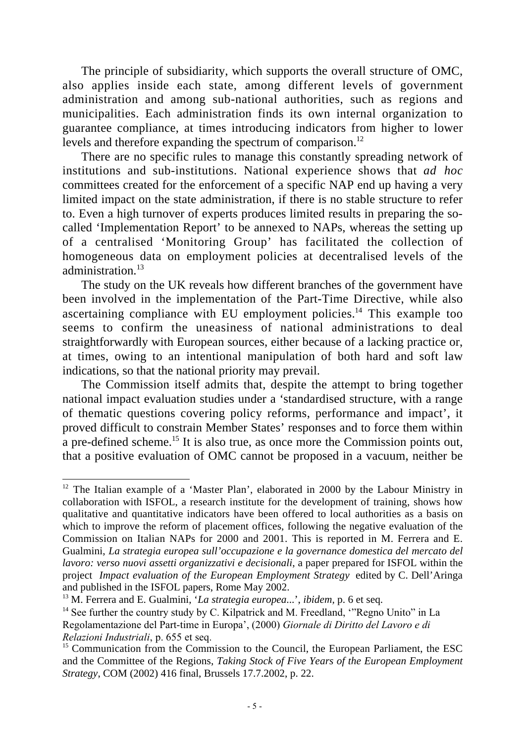The principle of subsidiarity, which supports the overall structure of OMC, also applies inside each state, among different levels of government administration and among sub-national authorities, such as regions and municipalities. Each administration finds its own internal organization to guarantee compliance, at times introducing indicators from higher to lower levels and therefore expanding the spectrum of comparison.<sup>12</sup>

There are no specific rules to manage this constantly spreading network of institutions and sub-institutions. National experience shows that *ad hoc* committees created for the enforcement of a specific NAP end up having a very limited impact on the state administration, if there is no stable structure to refer to. Even a high turnover of experts produces limited results in preparing the socalled 'Implementation Report' to be annexed to NAPs, whereas the setting up of a centralised 'Monitoring Group' has facilitated the collection of homogeneous data on employment policies at decentralised levels of the administration.<sup>13</sup>

The study on the UK reveals how different branches of the government have been involved in the implementation of the Part-Time Directive, while also ascertaining compliance with EU employment policies. $14$  This example too seems to confirm the uneasiness of national administrations to deal straightforwardly with European sources, either because of a lacking practice or, at times, owing to an intentional manipulation of both hard and soft law indications, so that the national priority may prevail.

The Commission itself admits that, despite the attempt to bring together national impact evaluation studies under a 'standardised structure, with a range of thematic questions covering policy reforms, performance and impact', it proved difficult to constrain Member States' responses and to force them within a pre-defined scheme.15 It is also true, as once more the Commission points out, that a positive evaluation of OMC cannot be proposed in a vacuum, neither be

j  $12$  The Italian example of a 'Master Plan', elaborated in 2000 by the Labour Ministry in collaboration with ISFOL, a research institute for the development of training, shows how qualitative and quantitative indicators have been offered to local authorities as a basis on which to improve the reform of placement offices, following the negative evaluation of the Commission on Italian NAPs for 2000 and 2001. This is reported in M. Ferrera and E. Gualmini, *La strategia europea sull'occupazione e la governance domestica del mercato del lavoro: verso nuovi assetti organizzativi e decisionali*, a paper prepared for ISFOL within the project *Impact evaluation of the European Employment Strategy* edited by C. Dell'Aringa and published in the ISFOL papers, Rome May 2002.

<sup>13</sup> M. Ferrera and E. Gualmini, '*La strategia europea*...', *ibidem,* p. 6 et seq.

<sup>&</sup>lt;sup>14</sup> See further the country study by C. Kilpatrick and M. Freedland, "Regno Unito" in La Regolamentazione del Part-time in Europa', (2000) *Giornale di Diritto del Lavoro e di Relazioni Industriali*, p. 655 et seq.

<sup>&</sup>lt;sup>15</sup> Communication from the Commission to the Council, the European Parliament, the ESC and the Committee of the Regions, *Taking Stock of Five Years of the European Employment Strategy*, COM (2002) 416 final, Brussels 17.7.2002, p. 22.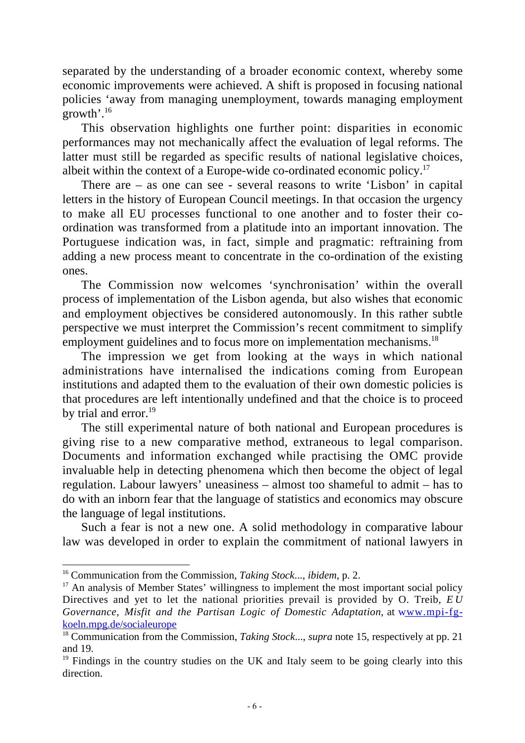separated by the understanding of a broader economic context, whereby some economic improvements were achieved. A shift is proposed in focusing national policies 'away from managing unemployment, towards managing employment growth'.16

This observation highlights one further point: disparities in economic performances may not mechanically affect the evaluation of legal reforms. The latter must still be regarded as specific results of national legislative choices, albeit within the context of a Europe-wide co-ordinated economic policy.17

There are – as one can see - several reasons to write 'Lisbon' in capital letters in the history of European Council meetings. In that occasion the urgency to make all EU processes functional to one another and to foster their coordination was transformed from a platitude into an important innovation. The Portuguese indication was, in fact, simple and pragmatic: reftraining from adding a new process meant to concentrate in the co-ordination of the existing ones.

The Commission now welcomes 'synchronisation' within the overall process of implementation of the Lisbon agenda, but also wishes that economic and employment objectives be considered autonomously. In this rather subtle perspective we must interpret the Commission's recent commitment to simplify employment guidelines and to focus more on implementation mechanisms.<sup>18</sup>

The impression we get from looking at the ways in which national administrations have internalised the indications coming from European institutions and adapted them to the evaluation of their own domestic policies is that procedures are left intentionally undefined and that the choice is to proceed by trial and error. $^{19}$ 

The still experimental nature of both national and European procedures is giving rise to a new comparative method, extraneous to legal comparison. Documents and information exchanged while practising the OMC provide invaluable help in detecting phenomena which then become the object of legal regulation. Labour lawyers' uneasiness – almost too shameful to admit – has to do with an inborn fear that the language of statistics and economics may obscure the language of legal institutions.

Such a fear is not a new one. A solid methodology in comparative labour law was developed in order to explain the commitment of national lawyers in

<sup>16</sup> Communication from the Commission, *Taking Stock*..., *ibidem*, p. 2.

 $17$  An analysis of Member States' willingness to implement the most important social policy Directives and yet to let the national priorities prevail is provided by O. Treib, *E U Governance, Misfit and the Partisan Logic of Domestic Adaptation*, at www.mpi-fgkoeln.mpg.de/socialeurope

<sup>18</sup> Communication from the Commission, *Taking Stock*..., *supra* note 15, respectively at pp. 21 and 19.

 $19$  Findings in the country studies on the UK and Italy seem to be going clearly into this direction.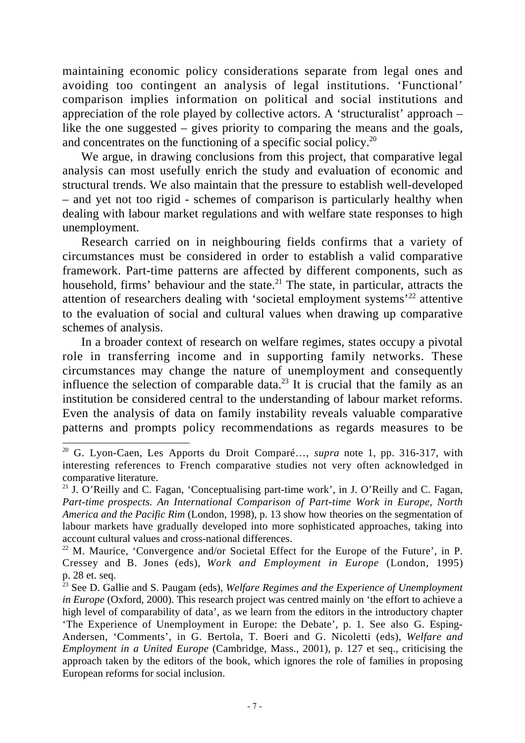maintaining economic policy considerations separate from legal ones and avoiding too contingent an analysis of legal institutions. 'Functional' comparison implies information on political and social institutions and appreciation of the role played by collective actors. A 'structuralist' approach – like the one suggested – gives priority to comparing the means and the goals, and concentrates on the functioning of a specific social policy.<sup>20</sup>

We argue, in drawing conclusions from this project, that comparative legal analysis can most usefully enrich the study and evaluation of economic and structural trends. We also maintain that the pressure to establish well-developed – and yet not too rigid - schemes of comparison is particularly healthy when dealing with labour market regulations and with welfare state responses to high unemployment.

Research carried on in neighbouring fields confirms that a variety of circumstances must be considered in order to establish a valid comparative framework. Part-time patterns are affected by different components, such as household, firms' behaviour and the state.<sup>21</sup> The state, in particular, attracts the attention of researchers dealing with 'societal employment systems'22 attentive to the evaluation of social and cultural values when drawing up comparative schemes of analysis.

In a broader context of research on welfare regimes, states occupy a pivotal role in transferring income and in supporting family networks. These circumstances may change the nature of unemployment and consequently influence the selection of comparable data.<sup>23</sup> It is crucial that the family as an institution be considered central to the understanding of labour market reforms. Even the analysis of data on family instability reveals valuable comparative patterns and prompts policy recommendations as regards measures to be

j <sup>20</sup> G. Lyon-Caen, Les Apports du Droit Comparé…, *supra* note 1, pp. 316-317, with interesting references to French comparative studies not very often acknowledged in comparative literature.

<sup>&</sup>lt;sup>21</sup> J. O'Reilly and C. Fagan, 'Conceptualising part-time work', in J. O'Reilly and C. Fagan, *Part-time prospects. An International Comparison of Part-time Work in Europe, North America and the Pacific Rim* (London, 1998), p. 13 show how theories on the segmentation of labour markets have gradually developed into more sophisticated approaches, taking into account cultural values and cross-national differences.

<sup>&</sup>lt;sup>22</sup> M. Maurice, 'Convergence and/or Societal Effect for the Europe of the Future', in P. Cressey and B. Jones (eds), *Work and Employment in Europe* (London, 1995) p. 28 et. seq.

<sup>&</sup>lt;sup>23</sup> See D. Gallie and S. Paugam (eds), *Welfare Regimes and the Experience of Unemployment in Europe* (Oxford, 2000). This research project was centred mainly on 'the effort to achieve a high level of comparability of data', as we learn from the editors in the introductory chapter 'The Experience of Unemployment in Europe: the Debate', p. 1. See also G. Esping-Andersen, 'Comments', in G. Bertola, T. Boeri and G. Nicoletti (eds), *Welfare and Employment in a United Europe* (Cambridge, Mass., 2001), p. 127 et seq., criticising the approach taken by the editors of the book, which ignores the role of families in proposing European reforms for social inclusion.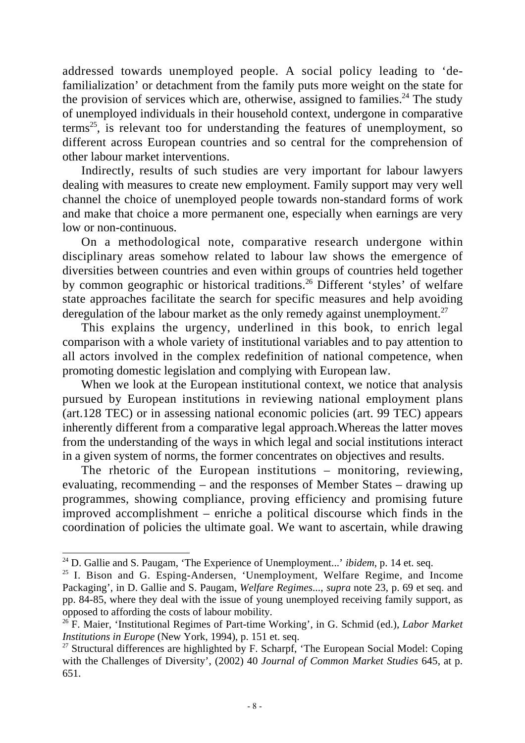addressed towards unemployed people. A social policy leading to 'defamilialization' or detachment from the family puts more weight on the state for the provision of services which are, otherwise, assigned to families.<sup>24</sup> The study of unemployed individuals in their household context, undergone in comparative terms<sup>25</sup>, is relevant too for understanding the features of unemployment, so different across European countries and so central for the comprehension of other labour market interventions.

Indirectly, results of such studies are very important for labour lawyers dealing with measures to create new employment. Family support may very well channel the choice of unemployed people towards non-standard forms of work and make that choice a more permanent one, especially when earnings are very low or non-continuous.

On a methodological note, comparative research undergone within disciplinary areas somehow related to labour law shows the emergence of diversities between countries and even within groups of countries held together by common geographic or historical traditions.<sup>26</sup> Different 'styles' of welfare state approaches facilitate the search for specific measures and help avoiding deregulation of the labour market as the only remedy against unemployment.<sup>27</sup>

This explains the urgency, underlined in this book, to enrich legal comparison with a whole variety of institutional variables and to pay attention to all actors involved in the complex redefinition of national competence, when promoting domestic legislation and complying with European law.

When we look at the European institutional context, we notice that analysis pursued by European institutions in reviewing national employment plans (art.128 TEC) or in assessing national economic policies (art. 99 TEC) appears inherently different from a comparative legal approach.Whereas the latter moves from the understanding of the ways in which legal and social institutions interact in a given system of norms, the former concentrates on objectives and results.

The rhetoric of the European institutions – monitoring, reviewing, evaluating, recommending – and the responses of Member States – drawing up programmes, showing compliance, proving efficiency and promising future improved accomplishment – enriche a political discourse which finds in the coordination of policies the ultimate goal. We want to ascertain, while drawing

<sup>24</sup> D. Gallie and S. Paugam, 'The Experience of Unemployment...' *ibidem*, p. 14 et. seq.

 $25$  I. Bison and G. Esping-Andersen, 'Unemployment, Welfare Regime, and Income Packaging', in D. Gallie and S. Paugam, *Welfare Regimes*..., *supra* note 23, p. 69 et seq. and pp. 84-85, where they deal with the issue of young unemployed receiving family support, as opposed to affording the costs of labour mobility.

<sup>26</sup> F. Maier, 'Institutional Regimes of Part-time Working', in G. Schmid (ed.), *Labor Market Institutions in Europe* (New York, 1994), p. 151 et. seq.

 $27$  Structural differences are highlighted by F. Scharpf, 'The European Social Model: Coping with the Challenges of Diversity', (2002) 40 *Journal of Common Market Studies* 645, at p. 651.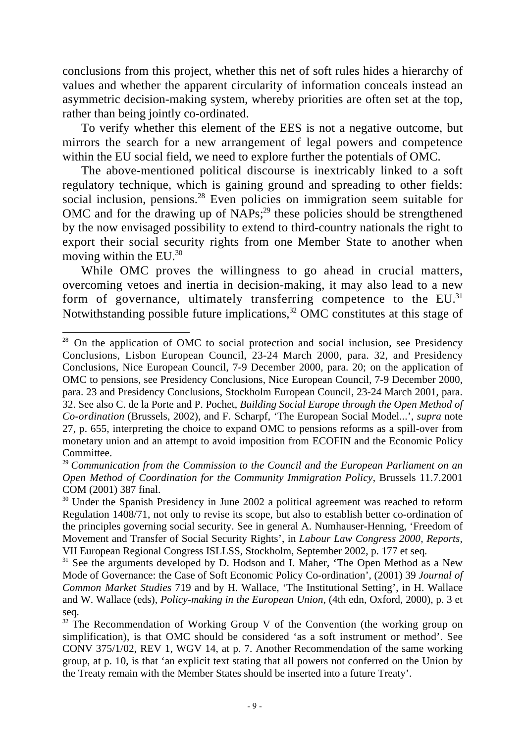conclusions from this project, whether this net of soft rules hides a hierarchy of values and whether the apparent circularity of information conceals instead an asymmetric decision-making system, whereby priorities are often set at the top, rather than being jointly co-ordinated.

To verify whether this element of the EES is not a negative outcome, but mirrors the search for a new arrangement of legal powers and competence within the EU social field, we need to explore further the potentials of OMC.

The above-mentioned political discourse is inextricably linked to a soft regulatory technique, which is gaining ground and spreading to other fields: social inclusion, pensions.<sup>28</sup> Even policies on immigration seem suitable for OMC and for the drawing up of  $NAPs$ ;<sup>29</sup> these policies should be strengthened by the now envisaged possibility to extend to third-country nationals the right to export their social security rights from one Member State to another when moving within the  $EU^{30}$ .

While OMC proves the willingness to go ahead in crucial matters, overcoming vetoes and inertia in decision-making, it may also lead to a new form of governance, ultimately transferring competence to the EU.<sup>31</sup> Notwithstanding possible future implications,  $32$  OMC constitutes at this stage of

 $28$  On the application of OMC to social protection and social inclusion, see Presidency Conclusions, Lisbon European Council, 23-24 March 2000, para. 32, and Presidency Conclusions, Nice European Council, 7-9 December 2000, para. 20; on the application of OMC to pensions, see Presidency Conclusions, Nice European Council, 7-9 December 2000, para. 23 and Presidency Conclusions, Stockholm European Council, 23-24 March 2001, para. 32. See also C. de la Porte and P. Pochet, *Building Social Europe through the Open Method of Co-ordination* (Brussels, 2002), and F. Scharpf, 'The European Social Model...', *supra* note 27, p. 655, interpreting the choice to expand OMC to pensions reforms as a spill-over from monetary union and an attempt to avoid imposition from ECOFIN and the Economic Policy Committee.

<sup>29</sup> *Communication from the Commission to the Council and the European Parliament on an Open Method of Coordination for the Community Immigration Policy*, Brussels 11.7.2001 COM (2001) 387 final.

 $30$  Under the Spanish Presidency in June 2002 a political agreement was reached to reform Regulation 1408/71, not only to revise its scope, but also to establish better co-ordination of the principles governing social security. See in general A. Numhauser-Henning, 'Freedom of Movement and Transfer of Social Security Rights', in *Labour Law Congress 2000, Reports,* VII European Regional Congress ISLLSS, Stockholm, September 2002, p. 177 et seq.

 $31$  See the arguments developed by D. Hodson and I. Maher, 'The Open Method as a New Mode of Governance: the Case of Soft Economic Policy Co-ordination', (2001) 39 *Journal of Common Market Studies* 719 and by H. Wallace, 'The Institutional Setting', in H. Wallace and W. Wallace (eds), *Policy-making in the European Union*, (4th edn, Oxford, 2000), p. 3 et seq.

 $32$  The Recommendation of Working Group V of the Convention (the working group on simplification), is that OMC should be considered 'as a soft instrument or method'. See CONV 375/1/02, REV 1, WGV 14, at p. 7. Another Recommendation of the same working group, at p. 10, is that 'an explicit text stating that all powers not conferred on the Union by the Treaty remain with the Member States should be inserted into a future Treaty'.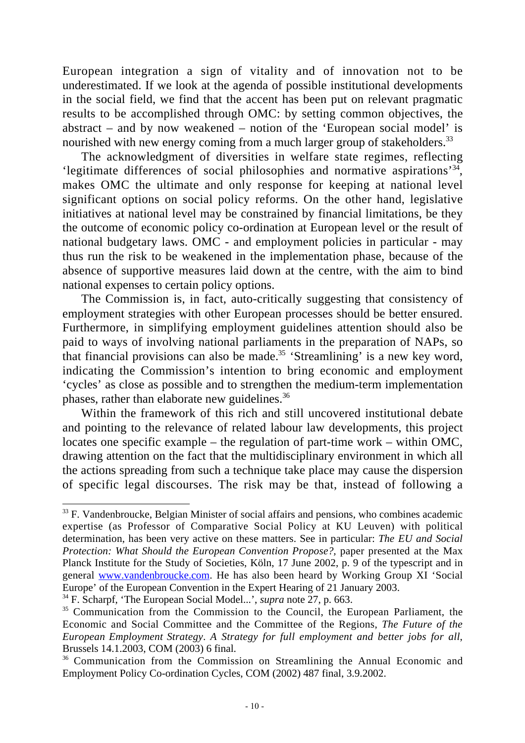European integration a sign of vitality and of innovation not to be underestimated. If we look at the agenda of possible institutional developments in the social field, we find that the accent has been put on relevant pragmatic results to be accomplished through OMC: by setting common objectives, the abstract – and by now weakened – notion of the 'European social model' is nourished with new energy coming from a much larger group of stakeholders.<sup>33</sup>

The acknowledgment of diversities in welfare state regimes, reflecting 'legitimate differences of social philosophies and normative aspirations'34, makes OMC the ultimate and only response for keeping at national level significant options on social policy reforms. On the other hand, legislative initiatives at national level may be constrained by financial limitations, be they the outcome of economic policy co-ordination at European level or the result of national budgetary laws. OMC - and employment policies in particular - may thus run the risk to be weakened in the implementation phase, because of the absence of supportive measures laid down at the centre, with the aim to bind national expenses to certain policy options.

The Commission is, in fact, auto-critically suggesting that consistency of employment strategies with other European processes should be better ensured. Furthermore, in simplifying employment guidelines attention should also be paid to ways of involving national parliaments in the preparation of NAPs, so that financial provisions can also be made.35 'Streamlining' is a new key word, indicating the Commission's intention to bring economic and employment 'cycles' as close as possible and to strengthen the medium-term implementation phases, rather than elaborate new guidelines.36

Within the framework of this rich and still uncovered institutional debate and pointing to the relevance of related labour law developments, this project locates one specific example – the regulation of part-time work – within OMC, drawing attention on the fact that the multidisciplinary environment in which all the actions spreading from such a technique take place may cause the dispersion of specific legal discourses. The risk may be that, instead of following a

j  $33$  F. Vandenbroucke, Belgian Minister of social affairs and pensions, who combines academic expertise (as Professor of Comparative Social Policy at KU Leuven) with political determination, has been very active on these matters. See in particular: *The EU and Social Protection: What Should the European Convention Propose?,* paper presented at the Max Planck Institute for the Study of Societies, Köln, 17 June 2002, p. 9 of the typescript and in general www.vandenbroucke.com. He has also been heard by Working Group XI 'Social Europe' of the European Convention in the Expert Hearing of 21 January 2003.

<sup>34</sup> F. Scharpf, 'The European Social Model...', *supra* note 27, p. 663.

<sup>&</sup>lt;sup>35</sup> Communication from the Commission to the Council, the European Parliament, the Economic and Social Committee and the Committee of the Regions, *The Future of the European Employment Strategy*. *A Strategy for full employment and better jobs for all*, Brussels 14.1.2003, COM (2003) 6 final.

<sup>&</sup>lt;sup>36</sup> Communication from the Commission on Streamlining the Annual Economic and Employment Policy Co-ordination Cycles, COM (2002) 487 final, 3.9.2002.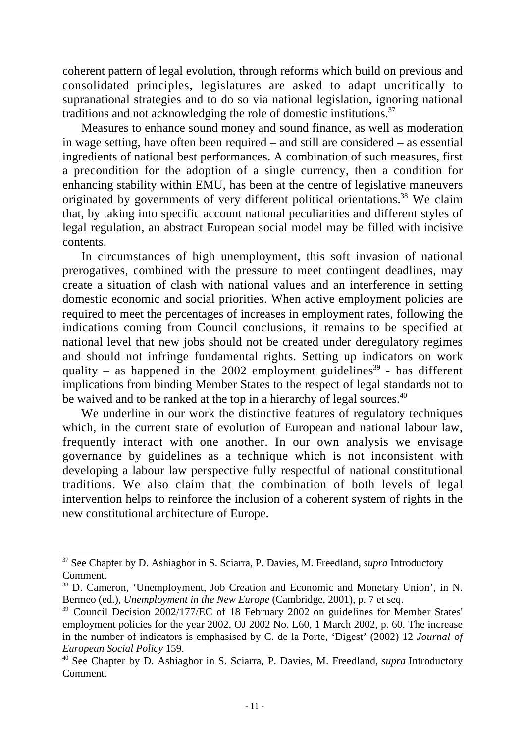coherent pattern of legal evolution, through reforms which build on previous and consolidated principles, legislatures are asked to adapt uncritically to supranational strategies and to do so via national legislation, ignoring national traditions and not acknowledging the role of domestic institutions.37

Measures to enhance sound money and sound finance, as well as moderation in wage setting, have often been required – and still are considered – as essential ingredients of national best performances. A combination of such measures, first a precondition for the adoption of a single currency, then a condition for enhancing stability within EMU, has been at the centre of legislative maneuvers originated by governments of very different political orientations.38 We claim that, by taking into specific account national peculiarities and different styles of legal regulation, an abstract European social model may be filled with incisive contents.

In circumstances of high unemployment, this soft invasion of national prerogatives, combined with the pressure to meet contingent deadlines, may create a situation of clash with national values and an interference in setting domestic economic and social priorities. When active employment policies are required to meet the percentages of increases in employment rates, following the indications coming from Council conclusions, it remains to be specified at national level that new jobs should not be created under deregulatory regimes and should not infringe fundamental rights. Setting up indicators on work quality – as happened in the 2002 employment guidelines<sup>39</sup> - has different implications from binding Member States to the respect of legal standards not to be waived and to be ranked at the top in a hierarchy of legal sources.<sup>40</sup>

We underline in our work the distinctive features of regulatory techniques which, in the current state of evolution of European and national labour law, frequently interact with one another. In our own analysis we envisage governance by guidelines as a technique which is not inconsistent with developing a labour law perspective fully respectful of national constitutional traditions. We also claim that the combination of both levels of legal intervention helps to reinforce the inclusion of a coherent system of rights in the new constitutional architecture of Europe.

<sup>37</sup> See Chapter by D. Ashiagbor in S. Sciarra, P. Davies, M. Freedland, *supra* Introductory Comment.

<sup>38</sup> D. Cameron, 'Unemployment, Job Creation and Economic and Monetary Union', in N. Bermeo (ed.), *Unemployment in the New Europe* (Cambridge, 2001), p. 7 et seq.

<sup>&</sup>lt;sup>39</sup> Council Decision 2002/177/EC of 18 February 2002 on guidelines for Member States' employment policies for the year 2002, OJ 2002 No. L60, 1 March 2002, p. 60. The increase in the number of indicators is emphasised by C. de la Porte, 'Digest' (2002) 12 *Journal of European Social Policy* 159.

<sup>40</sup> See Chapter by D. Ashiagbor in S. Sciarra, P. Davies, M. Freedland, *supra* Introductory Comment.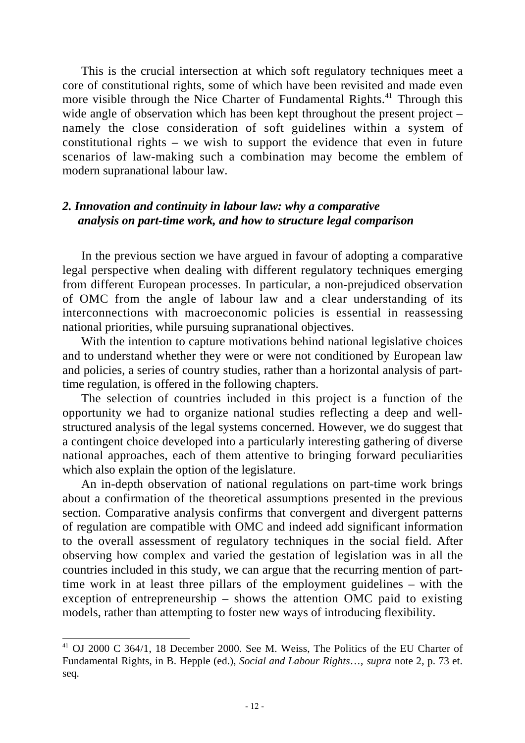This is the crucial intersection at which soft regulatory techniques meet a core of constitutional rights, some of which have been revisited and made even more visible through the Nice Charter of Fundamental Rights.<sup>41</sup> Through this wide angle of observation which has been kept throughout the present project – namely the close consideration of soft guidelines within a system of constitutional rights – we wish to support the evidence that even in future scenarios of law-making such a combination may become the emblem of modern supranational labour law.

# *2. Innovation and continuity in labour law: why a comparative analysis on part-time work, and how to structure legal comparison*

In the previous section we have argued in favour of adopting a comparative legal perspective when dealing with different regulatory techniques emerging from different European processes. In particular, a non-prejudiced observation of OMC from the angle of labour law and a clear understanding of its interconnections with macroeconomic policies is essential in reassessing national priorities, while pursuing supranational objectives.

With the intention to capture motivations behind national legislative choices and to understand whether they were or were not conditioned by European law and policies, a series of country studies, rather than a horizontal analysis of parttime regulation, is offered in the following chapters.

The selection of countries included in this project is a function of the opportunity we had to organize national studies reflecting a deep and wellstructured analysis of the legal systems concerned. However, we do suggest that a contingent choice developed into a particularly interesting gathering of diverse national approaches, each of them attentive to bringing forward peculiarities which also explain the option of the legislature.

An in-depth observation of national regulations on part-time work brings about a confirmation of the theoretical assumptions presented in the previous section. Comparative analysis confirms that convergent and divergent patterns of regulation are compatible with OMC and indeed add significant information to the overall assessment of regulatory techniques in the social field. After observing how complex and varied the gestation of legislation was in all the countries included in this study, we can argue that the recurring mention of parttime work in at least three pillars of the employment guidelines – with the exception of entrepreneurship – shows the attention OMC paid to existing models, rather than attempting to foster new ways of introducing flexibility.

<sup>&</sup>lt;sup>41</sup> OJ 2000 C 364/1, 18 December 2000. See M. Weiss, The Politics of the EU Charter of Fundamental Rights, in B. Hepple (ed.), *Social and Labour Rights*…, *supra* note 2, p. 73 et. seq.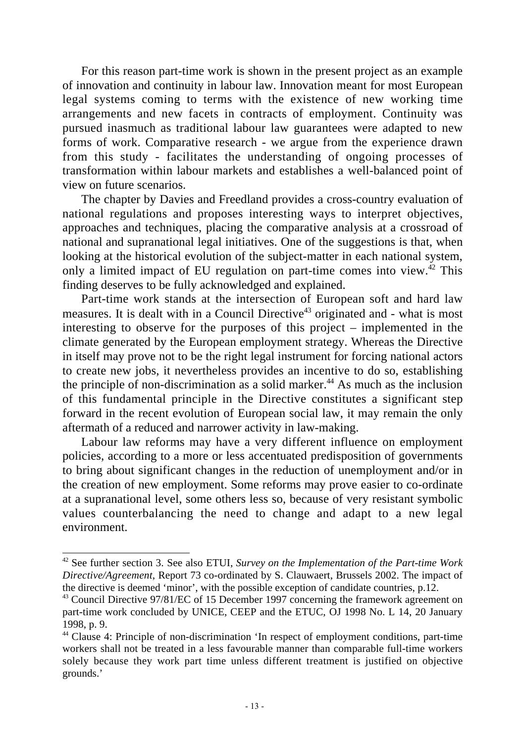For this reason part-time work is shown in the present project as an example of innovation and continuity in labour law. Innovation meant for most European legal systems coming to terms with the existence of new working time arrangements and new facets in contracts of employment. Continuity was pursued inasmuch as traditional labour law guarantees were adapted to new forms of work. Comparative research - we argue from the experience drawn from this study - facilitates the understanding of ongoing processes of transformation within labour markets and establishes a well-balanced point of view on future scenarios.

The chapter by Davies and Freedland provides a cross-country evaluation of national regulations and proposes interesting ways to interpret objectives, approaches and techniques, placing the comparative analysis at a crossroad of national and supranational legal initiatives. One of the suggestions is that, when looking at the historical evolution of the subject-matter in each national system, only a limited impact of EU regulation on part-time comes into view.<sup>42</sup> This finding deserves to be fully acknowledged and explained.

Part-time work stands at the intersection of European soft and hard law measures. It is dealt with in a Council Directive<sup>43</sup> originated and - what is most interesting to observe for the purposes of this project – implemented in the climate generated by the European employment strategy. Whereas the Directive in itself may prove not to be the right legal instrument for forcing national actors to create new jobs, it nevertheless provides an incentive to do so, establishing the principle of non-discrimination as a solid marker.<sup>44</sup> As much as the inclusion of this fundamental principle in the Directive constitutes a significant step forward in the recent evolution of European social law, it may remain the only aftermath of a reduced and narrower activity in law-making.

Labour law reforms may have a very different influence on employment policies, according to a more or less accentuated predisposition of governments to bring about significant changes in the reduction of unemployment and/or in the creation of new employment. Some reforms may prove easier to co-ordinate at a supranational level, some others less so, because of very resistant symbolic values counterbalancing the need to change and adapt to a new legal environment.

<sup>42</sup> See further section 3. See also ETUI, *Survey on the Implementation of the Part-time Work Directive/Agreement*, Report 73 co-ordinated by S. Clauwaert, Brussels 2002. The impact of the directive is deemed 'minor', with the possible exception of candidate countries, p.12.

<sup>&</sup>lt;sup>43</sup> Council Directive 97/81/EC of 15 December 1997 concerning the framework agreement on part-time work concluded by UNICE, CEEP and the ETUC, OJ 1998 No. L 14, 20 January 1998, p. 9.

<sup>&</sup>lt;sup>44</sup> Clause 4: Principle of non-discrimination 'In respect of employment conditions, part-time workers shall not be treated in a less favourable manner than comparable full-time workers solely because they work part time unless different treatment is justified on objective grounds.'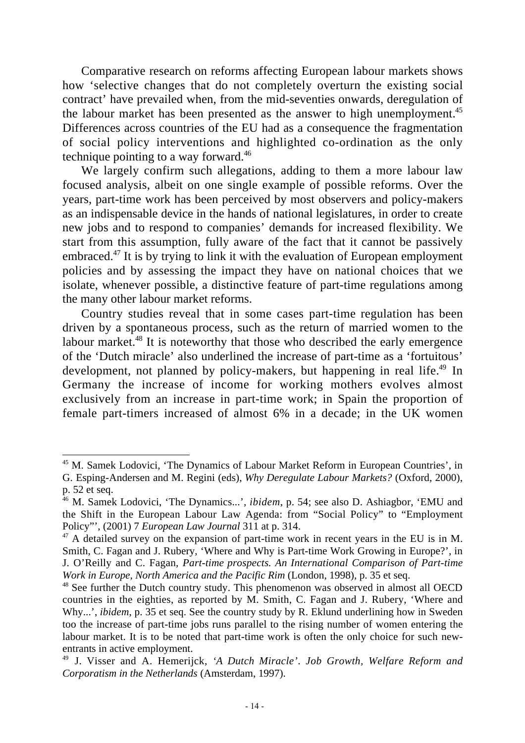Comparative research on reforms affecting European labour markets shows how 'selective changes that do not completely overturn the existing social contract' have prevailed when, from the mid-seventies onwards, deregulation of the labour market has been presented as the answer to high unemployment.<sup>45</sup> Differences across countries of the EU had as a consequence the fragmentation of social policy interventions and highlighted co-ordination as the only technique pointing to a way forward.<sup>46</sup>

We largely confirm such allegations, adding to them a more labour law focused analysis, albeit on one single example of possible reforms. Over the years, part-time work has been perceived by most observers and policy-makers as an indispensable device in the hands of national legislatures, in order to create new jobs and to respond to companies' demands for increased flexibility. We start from this assumption, fully aware of the fact that it cannot be passively embraced.<sup>47</sup> It is by trying to link it with the evaluation of European employment policies and by assessing the impact they have on national choices that we isolate, whenever possible, a distinctive feature of part-time regulations among the many other labour market reforms.

Country studies reveal that in some cases part-time regulation has been driven by a spontaneous process, such as the return of married women to the labour market.<sup>48</sup> It is noteworthy that those who described the early emergence of the 'Dutch miracle' also underlined the increase of part-time as a 'fortuitous' development, not planned by policy-makers, but happening in real life.<sup>49</sup> In Germany the increase of income for working mothers evolves almost exclusively from an increase in part-time work; in Spain the proportion of female part-timers increased of almost 6% in a decade; in the UK women

<sup>&</sup>lt;sup>45</sup> M. Samek Lodovici, 'The Dynamics of Labour Market Reform in European Countries', in G. Esping-Andersen and M. Regini (eds), *Why Deregulate Labour Markets?* (Oxford, 2000), p. 52 et seq.

<sup>46</sup> M. Samek Lodovici, 'The Dynamics...', *ibidem*, p. 54; see also D. Ashiagbor, 'EMU and the Shift in the European Labour Law Agenda: from "Social Policy" to "Employment Policy"', (2001) 7 *European Law Journal* 311 at p. 314.

 $47$  A detailed survey on the expansion of part-time work in recent years in the EU is in M. Smith, C. Fagan and J. Rubery, 'Where and Why is Part-time Work Growing in Europe?', in J. O'Reilly and C. Fagan, *Part-time prospects. An International Comparison of Part-time Work in Europe, North America and the Pacific Rim* (London, 1998), p. 35 et seq.

<sup>&</sup>lt;sup>48</sup> See further the Dutch country study. This phenomenon was observed in almost all OECD countries in the eighties, as reported by M. Smith, C. Fagan and J. Rubery, 'Where and Why...', *ibidem*, p. 35 et seq. See the country study by R. Eklund underlining how in Sweden too the increase of part-time jobs runs parallel to the rising number of women entering the labour market. It is to be noted that part-time work is often the only choice for such newentrants in active employment.

<sup>49</sup> J. Visser and A. Hemerijck, *'A Dutch Miracle'*. *Job Growth, Welfare Reform and Corporatism in the Netherlands* (Amsterdam, 1997).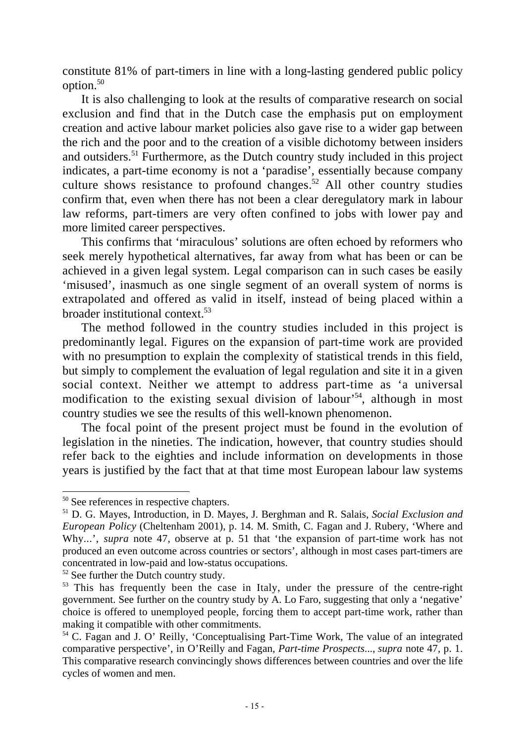constitute 81% of part-timers in line with a long-lasting gendered public policy option.50

It is also challenging to look at the results of comparative research on social exclusion and find that in the Dutch case the emphasis put on employment creation and active labour market policies also gave rise to a wider gap between the rich and the poor and to the creation of a visible dichotomy between insiders and outsiders.51 Furthermore, as the Dutch country study included in this project indicates, a part-time economy is not a 'paradise', essentially because company culture shows resistance to profound changes.<sup>52</sup> All other country studies confirm that, even when there has not been a clear deregulatory mark in labour law reforms, part-timers are very often confined to jobs with lower pay and more limited career perspectives.

This confirms that 'miraculous' solutions are often echoed by reformers who seek merely hypothetical alternatives, far away from what has been or can be achieved in a given legal system. Legal comparison can in such cases be easily 'misused', inasmuch as one single segment of an overall system of norms is extrapolated and offered as valid in itself, instead of being placed within a broader institutional context.<sup>53</sup>

The method followed in the country studies included in this project is predominantly legal. Figures on the expansion of part-time work are provided with no presumption to explain the complexity of statistical trends in this field, but simply to complement the evaluation of legal regulation and site it in a given social context. Neither we attempt to address part-time as 'a universal modification to the existing sexual division of labour<sup>'54</sup>, although in most country studies we see the results of this well-known phenomenon.

The focal point of the present project must be found in the evolution of legislation in the nineties. The indication, however, that country studies should refer back to the eighties and include information on developments in those years is justified by the fact that at that time most European labour law systems

<sup>&</sup>lt;sup>50</sup> See references in respective chapters.

<sup>51</sup> D. G. Mayes, Introduction, in D. Mayes, J. Berghman and R. Salais, *Social Exclusion and European Policy* (Cheltenham 2001), p. 14. M. Smith, C. Fagan and J. Rubery, 'Where and Why...', *supra* note 47, observe at p. 51 that 'the expansion of part-time work has not produced an even outcome across countries or sectors', although in most cases part-timers are concentrated in low-paid and low-status occupations.

 $52$  See further the Dutch country study.

 $53$  This has frequently been the case in Italy, under the pressure of the centre-right government. See further on the country study by A. Lo Faro, suggesting that only a 'negative' choice is offered to unemployed people, forcing them to accept part-time work, rather than making it compatible with other commitments.

<sup>&</sup>lt;sup>54</sup> C. Fagan and J. O' Reilly, 'Conceptualising Part-Time Work, The value of an integrated comparative perspective', in O'Reilly and Fagan, *Part-time Prospects*..., *supra* note 47, p. 1. This comparative research convincingly shows differences between countries and over the life cycles of women and men.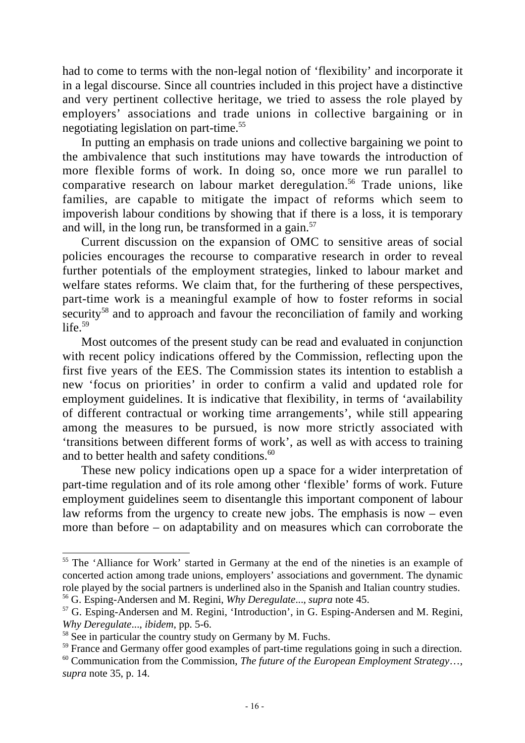had to come to terms with the non-legal notion of 'flexibility' and incorporate it in a legal discourse. Since all countries included in this project have a distinctive and very pertinent collective heritage, we tried to assess the role played by employers' associations and trade unions in collective bargaining or in negotiating legislation on part-time.<sup>55</sup>

In putting an emphasis on trade unions and collective bargaining we point to the ambivalence that such institutions may have towards the introduction of more flexible forms of work. In doing so, once more we run parallel to comparative research on labour market deregulation.<sup>56</sup> Trade unions, like families, are capable to mitigate the impact of reforms which seem to impoverish labour conditions by showing that if there is a loss, it is temporary and will, in the long run, be transformed in a gain. $57$ 

Current discussion on the expansion of OMC to sensitive areas of social policies encourages the recourse to comparative research in order to reveal further potentials of the employment strategies, linked to labour market and welfare states reforms. We claim that, for the furthering of these perspectives, part-time work is a meaningful example of how to foster reforms in social security<sup>58</sup> and to approach and favour the reconciliation of family and working life. $59$ 

Most outcomes of the present study can be read and evaluated in conjunction with recent policy indications offered by the Commission, reflecting upon the first five years of the EES. The Commission states its intention to establish a new 'focus on priorities' in order to confirm a valid and updated role for employment guidelines. It is indicative that flexibility, in terms of 'availability of different contractual or working time arrangements', while still appearing among the measures to be pursued, is now more strictly associated with 'transitions between different forms of work', as well as with access to training and to better health and safety conditions.<sup>60</sup>

These new policy indications open up a space for a wider interpretation of part-time regulation and of its role among other 'flexible' forms of work. Future employment guidelines seem to disentangle this important component of labour law reforms from the urgency to create new jobs. The emphasis is now – even more than before – on adaptability and on measures which can corroborate the

<sup>&</sup>lt;sup>55</sup> The 'Alliance for Work' started in Germany at the end of the nineties is an example of concerted action among trade unions, employers' associations and government. The dynamic role played by the social partners is underlined also in the Spanish and Italian country studies. <sup>56</sup> G. Esping-Andersen and M. Regini, *Why Deregulate*..., *supra* note 45.

<sup>&</sup>lt;sup>57</sup> G. Esping-Andersen and M. Regini, 'Introduction', in G. Esping-Andersen and M. Regini, *Why Deregulate*..., *ibidem*, pp. 5-6.

<sup>&</sup>lt;sup>58</sup> See in particular the country study on Germany by M. Fuchs.

<sup>&</sup>lt;sup>59</sup> France and Germany offer good examples of part-time regulations going in such a direction.

<sup>60</sup> Communication from the Commission, *The future of the European Employment Strategy*…, *supra* note 35, p. 14.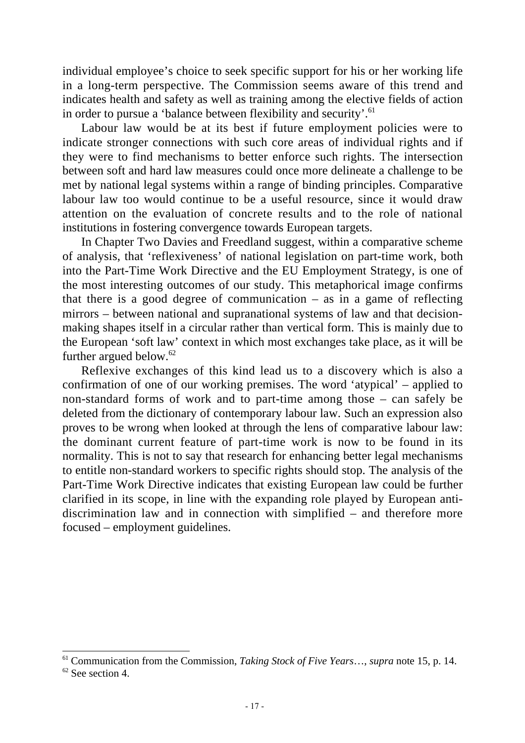individual employee's choice to seek specific support for his or her working life in a long-term perspective. The Commission seems aware of this trend and indicates health and safety as well as training among the elective fields of action in order to pursue a 'balance between flexibility and security'.<sup>61</sup>

Labour law would be at its best if future employment policies were to indicate stronger connections with such core areas of individual rights and if they were to find mechanisms to better enforce such rights. The intersection between soft and hard law measures could once more delineate a challenge to be met by national legal systems within a range of binding principles. Comparative labour law too would continue to be a useful resource, since it would draw attention on the evaluation of concrete results and to the role of national institutions in fostering convergence towards European targets.

In Chapter Two Davies and Freedland suggest, within a comparative scheme of analysis, that 'reflexiveness' of national legislation on part-time work, both into the Part-Time Work Directive and the EU Employment Strategy, is one of the most interesting outcomes of our study. This metaphorical image confirms that there is a good degree of communication  $-$  as in a game of reflecting mirrors – between national and supranational systems of law and that decisionmaking shapes itself in a circular rather than vertical form. This is mainly due to the European 'soft law' context in which most exchanges take place, as it will be further argued below. $62$ 

Reflexive exchanges of this kind lead us to a discovery which is also a confirmation of one of our working premises. The word 'atypical' – applied to non-standard forms of work and to part-time among those – can safely be deleted from the dictionary of contemporary labour law. Such an expression also proves to be wrong when looked at through the lens of comparative labour law: the dominant current feature of part-time work is now to be found in its normality. This is not to say that research for enhancing better legal mechanisms to entitle non-standard workers to specific rights should stop. The analysis of the Part-Time Work Directive indicates that existing European law could be further clarified in its scope, in line with the expanding role played by European antidiscrimination law and in connection with simplified – and therefore more focused – employment guidelines.

-

<sup>61</sup> Communication from the Commission, *Taking Stock of Five Years*…, *supra* note 15, p. 14.

 $62$  See section 4.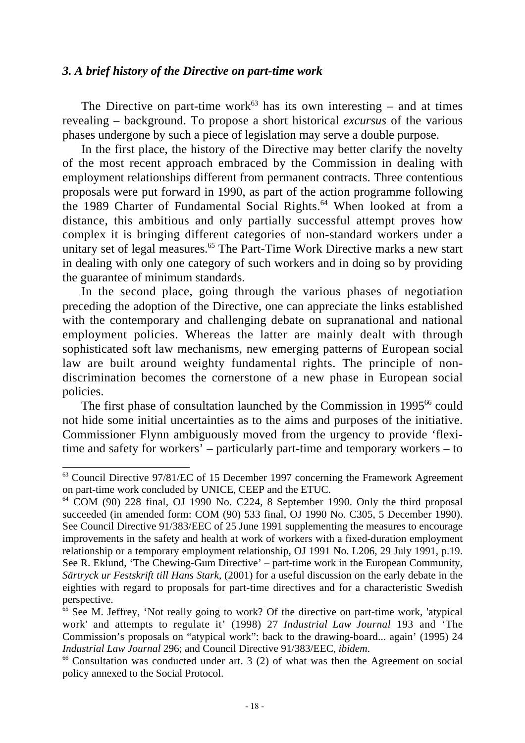# *3. A brief history of the Directive on part-time work*

The Directive on part-time work<sup>63</sup> has its own interesting – and at times revealing – background. To propose a short historical *excursus* of the various phases undergone by such a piece of legislation may serve a double purpose.

In the first place, the history of the Directive may better clarify the novelty of the most recent approach embraced by the Commission in dealing with employment relationships different from permanent contracts. Three contentious proposals were put forward in 1990, as part of the action programme following the 1989 Charter of Fundamental Social Rights.<sup>64</sup> When looked at from a distance, this ambitious and only partially successful attempt proves how complex it is bringing different categories of non-standard workers under a unitary set of legal measures.<sup>65</sup> The Part-Time Work Directive marks a new start in dealing with only one category of such workers and in doing so by providing the guarantee of minimum standards.

In the second place, going through the various phases of negotiation preceding the adoption of the Directive, one can appreciate the links established with the contemporary and challenging debate on supranational and national employment policies. Whereas the latter are mainly dealt with through sophisticated soft law mechanisms, new emerging patterns of European social law are built around weighty fundamental rights. The principle of nondiscrimination becomes the cornerstone of a new phase in European social policies.

The first phase of consultation launched by the Commission in 1995<sup>66</sup> could not hide some initial uncertainties as to the aims and purposes of the initiative. Commissioner Flynn ambiguously moved from the urgency to provide 'flexitime and safety for workers' – particularly part-time and temporary workers – to

-

 $63$  Council Directive 97/81/EC of 15 December 1997 concerning the Framework Agreement on part-time work concluded by UNICE, CEEP and the ETUC.

 $64$  COM (90) 228 final, OJ 1990 No. C224, 8 September 1990. Only the third proposal succeeded (in amended form: COM (90) 533 final, OJ 1990 No. C305, 5 December 1990). See Council Directive 91/383/EEC of 25 June 1991 supplementing the measures to encourage improvements in the safety and health at work of workers with a fixed-duration employment relationship or a temporary employment relationship, OJ 1991 No. L206, 29 July 1991, p.19. See R. Eklund, 'The Chewing-Gum Directive' – part-time work in the European Community, *Särtryck ur Festskrift till Hans Stark*, (2001) for a useful discussion on the early debate in the eighties with regard to proposals for part-time directives and for a characteristic Swedish perspective.

<sup>&</sup>lt;sup>65</sup> See M. Jeffrey, 'Not really going to work? Of the directive on part-time work, 'atypical work' and attempts to regulate it' (1998) 27 *Industrial Law Journal* 193 and 'The Commission's proposals on "atypical work": back to the drawing-board... again' (1995) 24 *Industrial Law Journal* 296; and Council Directive 91/383/EEC, *ibidem*.

 $66$  Consultation was conducted under art. 3 (2) of what was then the Agreement on social policy annexed to the Social Protocol.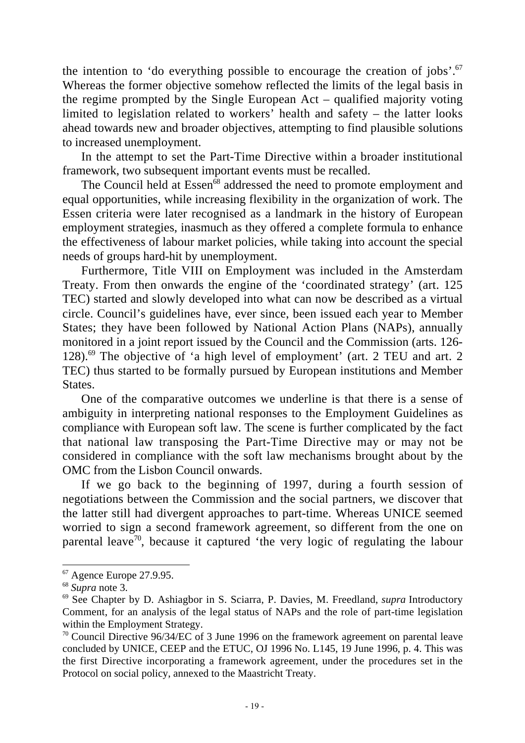the intention to 'do everything possible to encourage the creation of jobs'.<sup>67</sup> Whereas the former objective somehow reflected the limits of the legal basis in the regime prompted by the Single European Act – qualified majority voting limited to legislation related to workers' health and safety – the latter looks ahead towards new and broader objectives, attempting to find plausible solutions to increased unemployment.

In the attempt to set the Part-Time Directive within a broader institutional framework, two subsequent important events must be recalled.

The Council held at Essen<sup>68</sup> addressed the need to promote employment and equal opportunities, while increasing flexibility in the organization of work. The Essen criteria were later recognised as a landmark in the history of European employment strategies, inasmuch as they offered a complete formula to enhance the effectiveness of labour market policies, while taking into account the special needs of groups hard-hit by unemployment.

Furthermore, Title VIII on Employment was included in the Amsterdam Treaty. From then onwards the engine of the 'coordinated strategy' (art. 125 TEC) started and slowly developed into what can now be described as a virtual circle. Council's guidelines have, ever since, been issued each year to Member States; they have been followed by National Action Plans (NAPs), annually monitored in a joint report issued by the Council and the Commission (arts. 126- 128).69 The objective of 'a high level of employment' (art. 2 TEU and art. 2 TEC) thus started to be formally pursued by European institutions and Member States.

One of the comparative outcomes we underline is that there is a sense of ambiguity in interpreting national responses to the Employment Guidelines as compliance with European soft law. The scene is further complicated by the fact that national law transposing the Part-Time Directive may or may not be considered in compliance with the soft law mechanisms brought about by the OMC from the Lisbon Council onwards.

If we go back to the beginning of 1997, during a fourth session of negotiations between the Commission and the social partners, we discover that the latter still had divergent approaches to part-time. Whereas UNICE seemed worried to sign a second framework agreement, so different from the one on parental leave<sup>70</sup>, because it captured 'the very logic of regulating the labour

 $67$  Agence Europe 27.9.95.

<sup>68</sup> *Supra* note 3.

<sup>69</sup> See Chapter by D. Ashiagbor in S. Sciarra, P. Davies, M. Freedland, *supra* Introductory Comment, for an analysis of the legal status of NAPs and the role of part-time legislation within the Employment Strategy.

 $70$  Council Directive 96/34/EC of 3 June 1996 on the framework agreement on parental leave concluded by UNICE, CEEP and the ETUC, OJ 1996 No. L145, 19 June 1996, p. 4. This was the first Directive incorporating a framework agreement, under the procedures set in the Protocol on social policy, annexed to the Maastricht Treaty.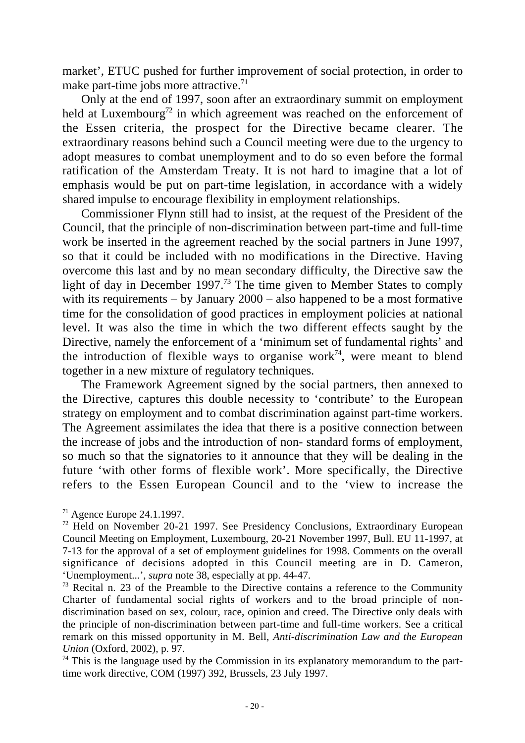market', ETUC pushed for further improvement of social protection, in order to make part-time jobs more attractive. $71$ 

Only at the end of 1997, soon after an extraordinary summit on employment held at Luxembourg<sup>72</sup> in which agreement was reached on the enforcement of the Essen criteria, the prospect for the Directive became clearer. The extraordinary reasons behind such a Council meeting were due to the urgency to adopt measures to combat unemployment and to do so even before the formal ratification of the Amsterdam Treaty. It is not hard to imagine that a lot of emphasis would be put on part-time legislation, in accordance with a widely shared impulse to encourage flexibility in employment relationships.

Commissioner Flynn still had to insist, at the request of the President of the Council, that the principle of non-discrimination between part-time and full-time work be inserted in the agreement reached by the social partners in June 1997, so that it could be included with no modifications in the Directive. Having overcome this last and by no mean secondary difficulty, the Directive saw the light of day in December 1997.<sup>73</sup> The time given to Member States to comply with its requirements – by January 2000 – also happened to be a most formative time for the consolidation of good practices in employment policies at national level. It was also the time in which the two different effects saught by the Directive, namely the enforcement of a 'minimum set of fundamental rights' and the introduction of flexible ways to organise work<sup>74</sup>, were meant to blend together in a new mixture of regulatory techniques.

The Framework Agreement signed by the social partners, then annexed to the Directive, captures this double necessity to 'contribute' to the European strategy on employment and to combat discrimination against part-time workers. The Agreement assimilates the idea that there is a positive connection between the increase of jobs and the introduction of non- standard forms of employment, so much so that the signatories to it announce that they will be dealing in the future 'with other forms of flexible work'. More specifically, the Directive refers to the Essen European Council and to the 'view to increase the

 $71$  Agence Europe 24.1.1997.

<sup>&</sup>lt;sup>72</sup> Held on November 20-21 1997. See Presidency Conclusions, Extraordinary European Council Meeting on Employment, Luxembourg, 20-21 November 1997, Bull. EU 11-1997, at 7-13 for the approval of a set of employment guidelines for 1998. Comments on the overall significance of decisions adopted in this Council meeting are in D. Cameron, 'Unemployment...', *supra* note 38, especially at pp. 44-47.

 $73$  Recital n. 23 of the Preamble to the Directive contains a reference to the Community Charter of fundamental social rights of workers and to the broad principle of nondiscrimination based on sex, colour, race, opinion and creed. The Directive only deals with the principle of non-discrimination between part-time and full-time workers. See a critical remark on this missed opportunity in M. Bell, *Anti-discrimination Law and the European Union* (Oxford, 2002), p. 97.

 $74$  This is the language used by the Commission in its explanatory memorandum to the parttime work directive, COM (1997) 392, Brussels, 23 July 1997.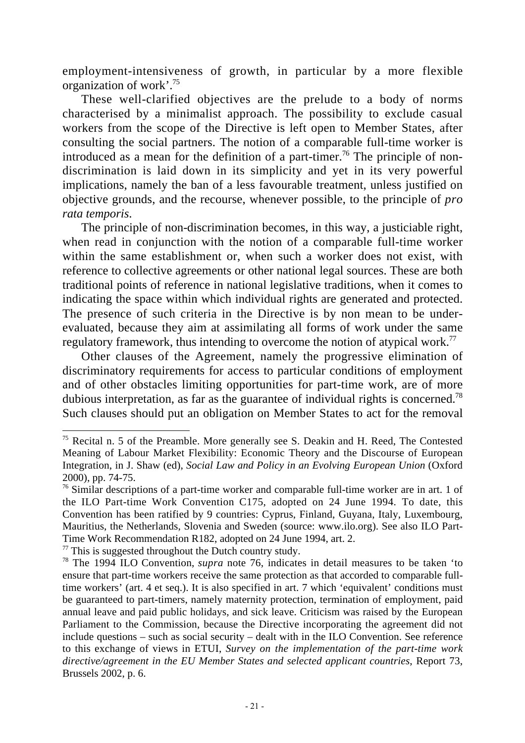employment-intensiveness of growth, in particular by a more flexible organization of work'.75

These well-clarified objectives are the prelude to a body of norms characterised by a minimalist approach. The possibility to exclude casual workers from the scope of the Directive is left open to Member States, after consulting the social partners. The notion of a comparable full-time worker is introduced as a mean for the definition of a part-timer.<sup>76</sup> The principle of nondiscrimination is laid down in its simplicity and yet in its very powerful implications, namely the ban of a less favourable treatment, unless justified on objective grounds, and the recourse, whenever possible, to the principle of *pro rata temporis*.

The principle of non-discrimination becomes, in this way, a justiciable right, when read in conjunction with the notion of a comparable full-time worker within the same establishment or, when such a worker does not exist, with reference to collective agreements or other national legal sources. These are both traditional points of reference in national legislative traditions, when it comes to indicating the space within which individual rights are generated and protected. The presence of such criteria in the Directive is by non mean to be underevaluated, because they aim at assimilating all forms of work under the same regulatory framework, thus intending to overcome the notion of atypical work.<sup>77</sup>

Other clauses of the Agreement, namely the progressive elimination of discriminatory requirements for access to particular conditions of employment and of other obstacles limiting opportunities for part-time work, are of more dubious interpretation, as far as the guarantee of individual rights is concerned.78 Such clauses should put an obligation on Member States to act for the removal

<sup>&</sup>lt;sup>75</sup> Recital n. 5 of the Preamble. More generally see S. Deakin and H. Reed, The Contested Meaning of Labour Market Flexibility: Economic Theory and the Discourse of European Integration, in J. Shaw (ed), *Social Law and Policy in an Evolving European Union* (Oxford 2000), pp. 74-75.

 $76$  Similar descriptions of a part-time worker and comparable full-time worker are in art. 1 of the ILO Part-time Work Convention C175, adopted on 24 June 1994. To date, this Convention has been ratified by 9 countries: Cyprus, Finland, Guyana, Italy, Luxembourg, Mauritius, the Netherlands, Slovenia and Sweden (source: www.ilo.org). See also ILO Part-Time Work Recommendation R182, adopted on 24 June 1994, art. 2.

 $77$  This is suggested throughout the Dutch country study.

<sup>78</sup> The 1994 ILO Convention, *supra* note 76, indicates in detail measures to be taken 'to ensure that part-time workers receive the same protection as that accorded to comparable fulltime workers' (art. 4 et seq.). It is also specified in art. 7 which 'equivalent' conditions must be guaranteed to part-timers, namely maternity protection, termination of employment, paid annual leave and paid public holidays, and sick leave. Criticism was raised by the European Parliament to the Commission, because the Directive incorporating the agreement did not include questions – such as social security – dealt with in the ILO Convention. See reference to this exchange of views in ETUI, *Survey on the implementation of the part-time work directive/agreement in the EU Member States and selected applicant countries*, Report 73, Brussels 2002, p. 6.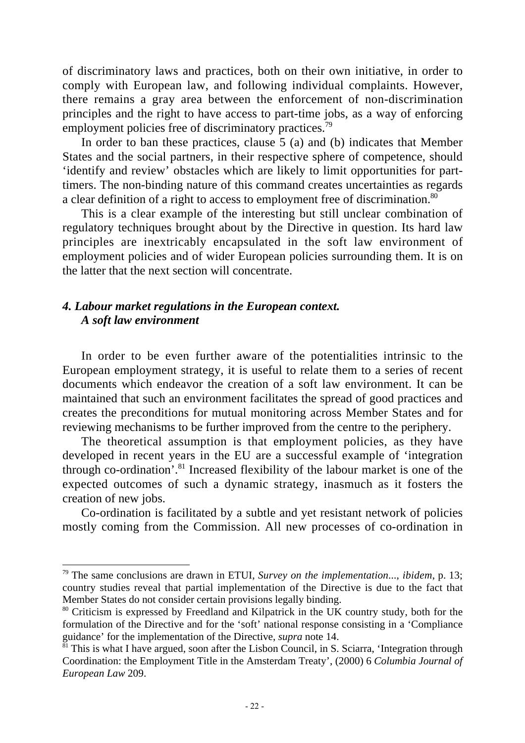of discriminatory laws and practices, both on their own initiative, in order to comply with European law, and following individual complaints. However, there remains a gray area between the enforcement of non-discrimination principles and the right to have access to part-time jobs, as a way of enforcing employment policies free of discriminatory practices.<sup>79</sup>

In order to ban these practices, clause 5 (a) and (b) indicates that Member States and the social partners, in their respective sphere of competence, should 'identify and review' obstacles which are likely to limit opportunities for parttimers. The non-binding nature of this command creates uncertainties as regards a clear definition of a right to access to employment free of discrimination.<sup>80</sup>

This is a clear example of the interesting but still unclear combination of regulatory techniques brought about by the Directive in question. Its hard law principles are inextricably encapsulated in the soft law environment of employment policies and of wider European policies surrounding them. It is on the latter that the next section will concentrate.

# *4. Labour market regulations in the European context. A soft law environment*

j

In order to be even further aware of the potentialities intrinsic to the European employment strategy, it is useful to relate them to a series of recent documents which endeavor the creation of a soft law environment. It can be maintained that such an environment facilitates the spread of good practices and creates the preconditions for mutual monitoring across Member States and for reviewing mechanisms to be further improved from the centre to the periphery.

The theoretical assumption is that employment policies, as they have developed in recent years in the EU are a successful example of 'integration through co-ordination'.81 Increased flexibility of the labour market is one of the expected outcomes of such a dynamic strategy, inasmuch as it fosters the creation of new jobs.

Co-ordination is facilitated by a subtle and yet resistant network of policies mostly coming from the Commission. All new processes of co-ordination in

<sup>79</sup> The same conclusions are drawn in ETUI, *Survey on the implementation*..., *ibidem*, p. 13; country studies reveal that partial implementation of the Directive is due to the fact that Member States do not consider certain provisions legally binding.

<sup>&</sup>lt;sup>80</sup> Criticism is expressed by Freedland and Kilpatrick in the UK country study, both for the formulation of the Directive and for the 'soft' national response consisting in a 'Compliance guidance' for the implementation of the Directive, *supra* note 14.

 $\frac{\overline{8}1}{10}$  This is what I have argued, soon after the Lisbon Council, in S. Sciarra, 'Integration through Coordination: the Employment Title in the Amsterdam Treaty', (2000) 6 *Columbia Journal of European Law* 209.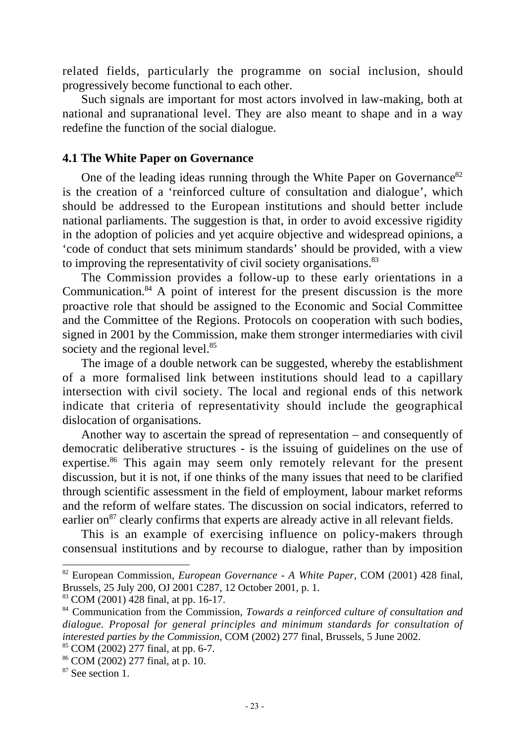related fields, particularly the programme on social inclusion, should progressively become functional to each other.

Such signals are important for most actors involved in law-making, both at national and supranational level. They are also meant to shape and in a way redefine the function of the social dialogue.

# **4.1 The White Paper on Governance**

One of the leading ideas running through the White Paper on Governance<sup>82</sup> is the creation of a 'reinforced culture of consultation and dialogue', which should be addressed to the European institutions and should better include national parliaments. The suggestion is that, in order to avoid excessive rigidity in the adoption of policies and yet acquire objective and widespread opinions, a 'code of conduct that sets minimum standards' should be provided, with a view to improving the representativity of civil society organisations.<sup>83</sup>

The Commission provides a follow-up to these early orientations in a Communication.<sup>84</sup> A point of interest for the present discussion is the more proactive role that should be assigned to the Economic and Social Committee and the Committee of the Regions. Protocols on cooperation with such bodies, signed in 2001 by the Commission, make them stronger intermediaries with civil society and the regional level.<sup>85</sup>

The image of a double network can be suggested, whereby the establishment of a more formalised link between institutions should lead to a capillary intersection with civil society. The local and regional ends of this network indicate that criteria of representativity should include the geographical dislocation of organisations.

Another way to ascertain the spread of representation – and consequently of democratic deliberative structures - is the issuing of guidelines on the use of expertise.<sup>86</sup> This again may seem only remotely relevant for the present discussion, but it is not, if one thinks of the many issues that need to be clarified through scientific assessment in the field of employment, labour market reforms and the reform of welfare states. The discussion on social indicators, referred to earlier on $87$  clearly confirms that experts are already active in all relevant fields.

This is an example of exercising influence on policy-makers through consensual institutions and by recourse to dialogue, rather than by imposition

<sup>82</sup> European Commission, *European Governance - A White Paper*, COM (2001) 428 final, Brussels, 25 July 200, OJ 2001 C287, 12 October 2001, p. 1.

<sup>83</sup> COM (2001) 428 final, at pp. 16-17.

<sup>84</sup> Communication from the Commission, *Towards a reinforced culture of consultation and dialogue. Proposal for general principles and minimum standards for consultation of interested parties by the Commission*, COM (2002) 277 final, Brussels, 5 June 2002.

<sup>85</sup> COM (2002) 277 final, at pp. 6-7.

<sup>86</sup> COM (2002) 277 final, at p. 10.

<sup>&</sup>lt;sup>87</sup> See section 1.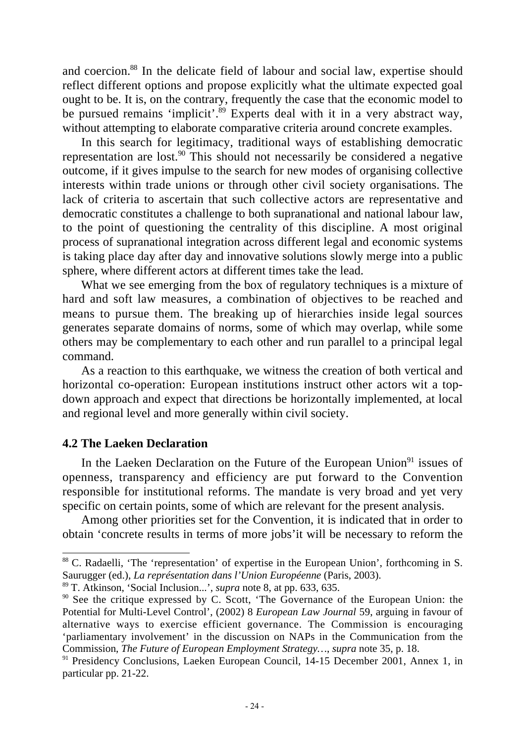and coercion.88 In the delicate field of labour and social law, expertise should reflect different options and propose explicitly what the ultimate expected goal ought to be. It is, on the contrary, frequently the case that the economic model to be pursued remains 'implicit'.<sup>89</sup> Experts deal with it in a very abstract way, without attempting to elaborate comparative criteria around concrete examples.

In this search for legitimacy, traditional ways of establishing democratic representation are lost.90 This should not necessarily be considered a negative outcome, if it gives impulse to the search for new modes of organising collective interests within trade unions or through other civil society organisations. The lack of criteria to ascertain that such collective actors are representative and democratic constitutes a challenge to both supranational and national labour law, to the point of questioning the centrality of this discipline. A most original process of supranational integration across different legal and economic systems is taking place day after day and innovative solutions slowly merge into a public sphere, where different actors at different times take the lead.

What we see emerging from the box of regulatory techniques is a mixture of hard and soft law measures, a combination of objectives to be reached and means to pursue them. The breaking up of hierarchies inside legal sources generates separate domains of norms, some of which may overlap, while some others may be complementary to each other and run parallel to a principal legal command.

As a reaction to this earthquake, we witness the creation of both vertical and horizontal co-operation: European institutions instruct other actors wit a topdown approach and expect that directions be horizontally implemented, at local and regional level and more generally within civil society.

#### **4.2 The Laeken Declaration**

j

In the Laeken Declaration on the Future of the European Union<sup>91</sup> issues of openness, transparency and efficiency are put forward to the Convention responsible for institutional reforms. The mandate is very broad and yet very specific on certain points, some of which are relevant for the present analysis.

Among other priorities set for the Convention, it is indicated that in order to obtain 'concrete results in terms of more jobs'it will be necessary to reform the

<sup>&</sup>lt;sup>88</sup> C. Radaelli, 'The 'representation' of expertise in the European Union', forthcoming in S. Saurugger (ed.), *La représentation dans l'Union Européenne* (Paris, 2003).

<sup>89</sup> T. Atkinson, 'Social Inclusion...', *supra* note 8, at pp. 633, 635.

<sup>&</sup>lt;sup>90</sup> See the critique expressed by C. Scott, 'The Governance of the European Union: the Potential for Multi-Level Control', (2002) 8 *European Law Journal* 59, arguing in favour of alternative ways to exercise efficient governance. The Commission is encouraging 'parliamentary involvement' in the discussion on NAPs in the Communication from the Commission, *The Future of European Employment Strategy…*, *supra* note 35, p. 18.

<sup>&</sup>lt;sup>91</sup> Presidency Conclusions, Laeken European Council, 14-15 December 2001, Annex 1, in particular pp. 21-22.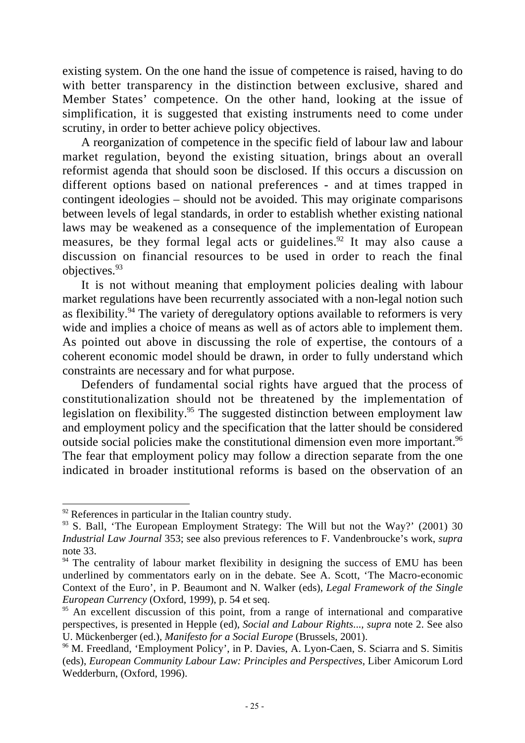existing system. On the one hand the issue of competence is raised, having to do with better transparency in the distinction between exclusive, shared and Member States' competence. On the other hand, looking at the issue of simplification, it is suggested that existing instruments need to come under scrutiny, in order to better achieve policy objectives.

A reorganization of competence in the specific field of labour law and labour market regulation, beyond the existing situation, brings about an overall reformist agenda that should soon be disclosed. If this occurs a discussion on different options based on national preferences - and at times trapped in contingent ideologies – should not be avoided. This may originate comparisons between levels of legal standards, in order to establish whether existing national laws may be weakened as a consequence of the implementation of European measures, be they formal legal acts or guidelines.<sup>92</sup> It may also cause a discussion on financial resources to be used in order to reach the final objectives.<sup>93</sup>

It is not without meaning that employment policies dealing with labour market regulations have been recurrently associated with a non-legal notion such as flexibility.<sup>94</sup> The variety of deregulatory options available to reformers is very wide and implies a choice of means as well as of actors able to implement them. As pointed out above in discussing the role of expertise, the contours of a coherent economic model should be drawn, in order to fully understand which constraints are necessary and for what purpose.

Defenders of fundamental social rights have argued that the process of constitutionalization should not be threatened by the implementation of legislation on flexibility.<sup>95</sup> The suggested distinction between employment law and employment policy and the specification that the latter should be considered outside social policies make the constitutional dimension even more important.<sup>96</sup> The fear that employment policy may follow a direction separate from the one indicated in broader institutional reforms is based on the observation of an

 $92$  References in particular in the Italian country study.

<sup>&</sup>lt;sup>93</sup> S. Ball, 'The European Employment Strategy: The Will but not the Way?' (2001) 30 *Industrial Law Journal* 353; see also previous references to F. Vandenbroucke's work, *supra* note 33.

<sup>&</sup>lt;sup>94</sup> The centrality of labour market flexibility in designing the success of EMU has been underlined by commentators early on in the debate. See A. Scott, 'The Macro-economic Context of the Euro', in P. Beaumont and N. Walker (eds), *Legal Framework of the Single European Currency* (Oxford, 1999), p. 54 et seq.

<sup>&</sup>lt;sup>95</sup> An excellent discussion of this point, from a range of international and comparative perspectives, is presented in Hepple (ed), *Social and Labour Rights*...*, supra* note 2. See also U. Mückenberger (ed.), *Manifesto for a Social Europe* (Brussels, 2001).

<sup>&</sup>lt;sup>96</sup> M. Freedland, 'Employment Policy', in P. Davies, A. Lyon-Caen, S. Sciarra and S. Simitis (eds), *European Community Labour Law: Principles and Perspectives*, Liber Amicorum Lord Wedderburn, (Oxford, 1996).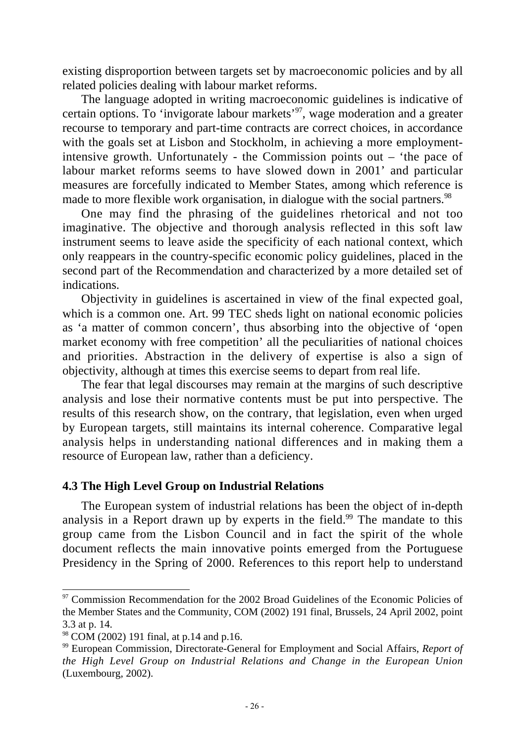existing disproportion between targets set by macroeconomic policies and by all related policies dealing with labour market reforms.

The language adopted in writing macroeconomic guidelines is indicative of certain options. To 'invigorate labour markets'97, wage moderation and a greater recourse to temporary and part-time contracts are correct choices, in accordance with the goals set at Lisbon and Stockholm, in achieving a more employmentintensive growth. Unfortunately - the Commission points out – 'the pace of labour market reforms seems to have slowed down in 2001' and particular measures are forcefully indicated to Member States, among which reference is made to more flexible work organisation, in dialogue with the social partners.<sup>98</sup>

One may find the phrasing of the guidelines rhetorical and not too imaginative. The objective and thorough analysis reflected in this soft law instrument seems to leave aside the specificity of each national context, which only reappears in the country-specific economic policy guidelines, placed in the second part of the Recommendation and characterized by a more detailed set of indications.

Objectivity in guidelines is ascertained in view of the final expected goal, which is a common one. Art. 99 TEC sheds light on national economic policies as 'a matter of common concern', thus absorbing into the objective of 'open market economy with free competition' all the peculiarities of national choices and priorities. Abstraction in the delivery of expertise is also a sign of objectivity, although at times this exercise seems to depart from real life.

The fear that legal discourses may remain at the margins of such descriptive analysis and lose their normative contents must be put into perspective. The results of this research show, on the contrary, that legislation, even when urged by European targets, still maintains its internal coherence. Comparative legal analysis helps in understanding national differences and in making them a resource of European law, rather than a deficiency.

# **4.3 The High Level Group on Industrial Relations**

The European system of industrial relations has been the object of in-depth analysis in a Report drawn up by experts in the field.<sup>99</sup> The mandate to this group came from the Lisbon Council and in fact the spirit of the whole document reflects the main innovative points emerged from the Portuguese Presidency in the Spring of 2000. References to this report help to understand

-

<sup>&</sup>lt;sup>97</sup> Commission Recommendation for the 2002 Broad Guidelines of the Economic Policies of the Member States and the Community, COM (2002) 191 final, Brussels, 24 April 2002, point 3.3 at p. 14.

 $98$  COM (2002) 191 final, at p.14 and p.16.

<sup>99</sup> European Commission, Directorate-General for Employment and Social Affairs, *Report of the High Level Group on Industrial Relations and Change in the European Union* (Luxembourg, 2002).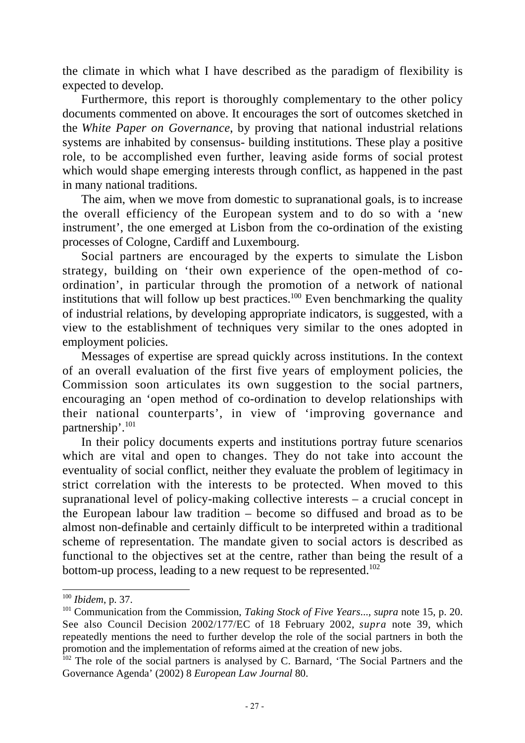the climate in which what I have described as the paradigm of flexibility is expected to develop.

Furthermore, this report is thoroughly complementary to the other policy documents commented on above. It encourages the sort of outcomes sketched in the *White Paper on Governance*, by proving that national industrial relations systems are inhabited by consensus- building institutions. These play a positive role, to be accomplished even further, leaving aside forms of social protest which would shape emerging interests through conflict, as happened in the past in many national traditions.

The aim, when we move from domestic to supranational goals, is to increase the overall efficiency of the European system and to do so with a 'new instrument', the one emerged at Lisbon from the co-ordination of the existing processes of Cologne, Cardiff and Luxembourg.

Social partners are encouraged by the experts to simulate the Lisbon strategy, building on 'their own experience of the open-method of coordination', in particular through the promotion of a network of national institutions that will follow up best practices.<sup>100</sup> Even benchmarking the quality of industrial relations, by developing appropriate indicators, is suggested, with a view to the establishment of techniques very similar to the ones adopted in employment policies.

Messages of expertise are spread quickly across institutions. In the context of an overall evaluation of the first five years of employment policies, the Commission soon articulates its own suggestion to the social partners, encouraging an 'open method of co-ordination to develop relationships with their national counterparts', in view of 'improving governance and partnership'.101

In their policy documents experts and institutions portray future scenarios which are vital and open to changes. They do not take into account the eventuality of social conflict, neither they evaluate the problem of legitimacy in strict correlation with the interests to be protected. When moved to this supranational level of policy-making collective interests – a crucial concept in the European labour law tradition – become so diffused and broad as to be almost non-definable and certainly difficult to be interpreted within a traditional scheme of representation. The mandate given to social actors is described as functional to the objectives set at the centre, rather than being the result of a bottom-up process, leading to a new request to be represented.<sup>102</sup>

-

<sup>100</sup> *Ibidem*, p. 37.

<sup>101</sup> Communication from the Commission, *Taking Stock of Five Years*..., *supra* note 15, p. 20. See also Council Decision 2002/177/EC of 18 February 2002, *supra* note 39, which repeatedly mentions the need to further develop the role of the social partners in both the promotion and the implementation of reforms aimed at the creation of new jobs.

 $\frac{1}{102}$  The role of the social partners is analysed by C. Barnard, 'The Social Partners and the Governance Agenda' (2002) 8 *European Law Journal* 80.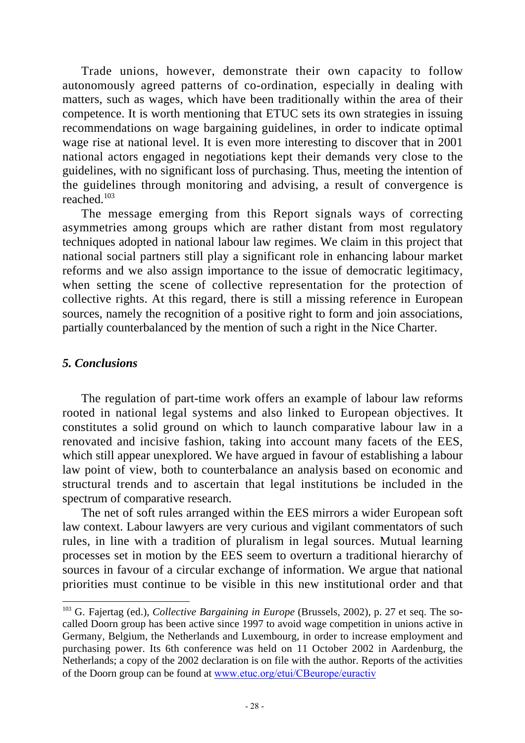Trade unions, however, demonstrate their own capacity to follow autonomously agreed patterns of co-ordination, especially in dealing with matters, such as wages, which have been traditionally within the area of their competence. It is worth mentioning that ETUC sets its own strategies in issuing recommendations on wage bargaining guidelines, in order to indicate optimal wage rise at national level. It is even more interesting to discover that in 2001 national actors engaged in negotiations kept their demands very close to the guidelines, with no significant loss of purchasing. Thus, meeting the intention of the guidelines through monitoring and advising, a result of convergence is reached<sup>103</sup>

The message emerging from this Report signals ways of correcting asymmetries among groups which are rather distant from most regulatory techniques adopted in national labour law regimes. We claim in this project that national social partners still play a significant role in enhancing labour market reforms and we also assign importance to the issue of democratic legitimacy, when setting the scene of collective representation for the protection of collective rights. At this regard, there is still a missing reference in European sources, namely the recognition of a positive right to form and join associations, partially counterbalanced by the mention of such a right in the Nice Charter.

# *5. Conclusions*

j

The regulation of part-time work offers an example of labour law reforms rooted in national legal systems and also linked to European objectives. It constitutes a solid ground on which to launch comparative labour law in a renovated and incisive fashion, taking into account many facets of the EES, which still appear unexplored. We have argued in favour of establishing a labour law point of view, both to counterbalance an analysis based on economic and structural trends and to ascertain that legal institutions be included in the spectrum of comparative research.

The net of soft rules arranged within the EES mirrors a wider European soft law context. Labour lawyers are very curious and vigilant commentators of such rules, in line with a tradition of pluralism in legal sources. Mutual learning processes set in motion by the EES seem to overturn a traditional hierarchy of sources in favour of a circular exchange of information. We argue that national priorities must continue to be visible in this new institutional order and that

<sup>&</sup>lt;sup>103</sup> G. Fajertag (ed.), *Collective Bargaining in Europe* (Brussels, 2002), p. 27 et seq. The socalled Doorn group has been active since 1997 to avoid wage competition in unions active in Germany, Belgium, the Netherlands and Luxembourg, in order to increase employment and purchasing power. Its 6th conference was held on 11 October 2002 in Aardenburg, the Netherlands; a copy of the 2002 declaration is on file with the author. Reports of the activities of the Doorn group can be found at www.etuc.org/etui/CBeurope/euractiv